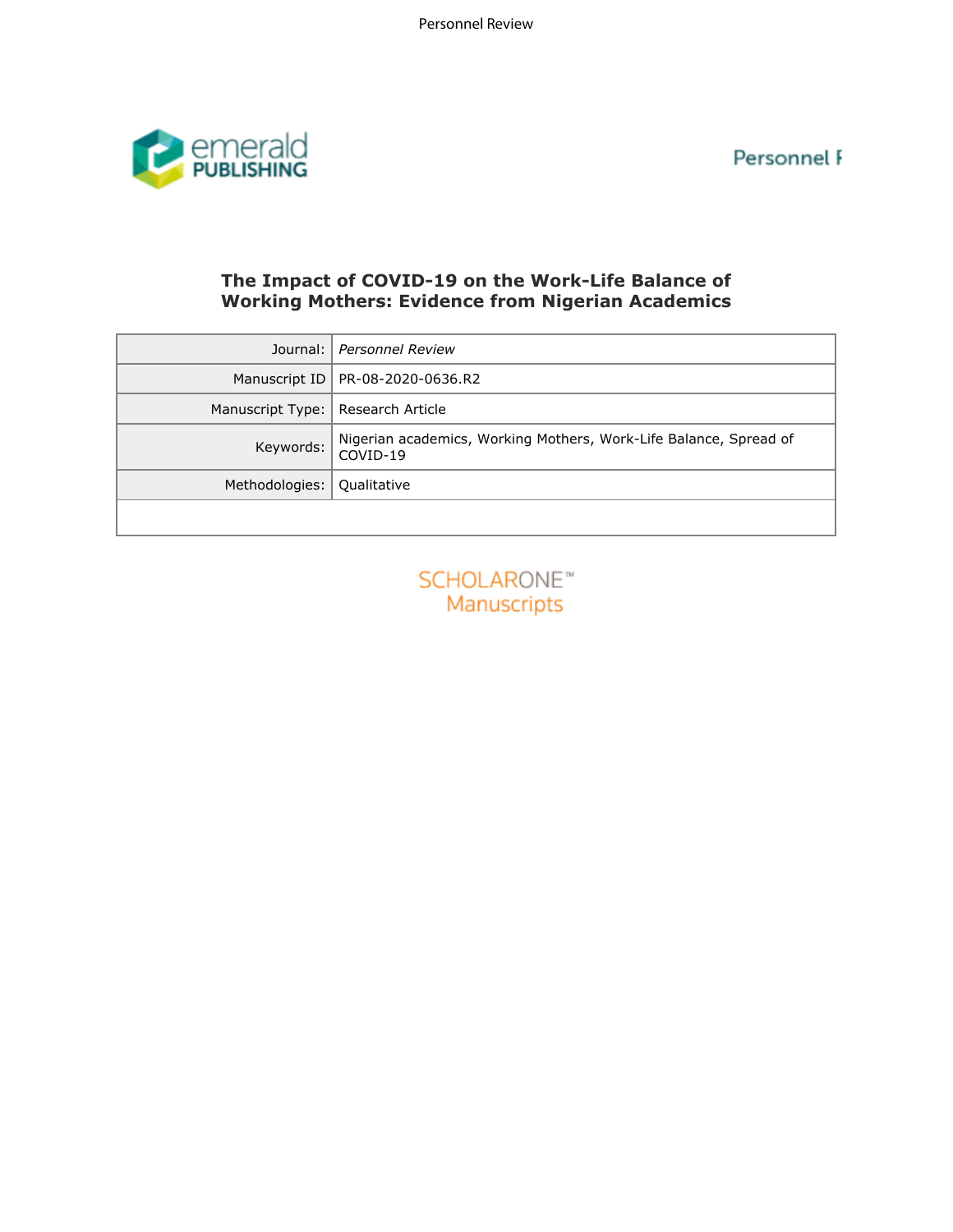Personnel F



# **The Impact of COVID-19 on the Work-Life Balance of Working Mothers: Evidence from Nigerian Academics**

| Journal:         | Personnel Review                                                              |  |  |  |  |
|------------------|-------------------------------------------------------------------------------|--|--|--|--|
| Manuscript ID    | PR-08-2020-0636.R2                                                            |  |  |  |  |
| Manuscript Type: | Research Article                                                              |  |  |  |  |
| Keywords:        | Nigerian academics, Working Mothers, Work-Life Balance, Spread of<br>COVID-19 |  |  |  |  |
| Methodologies:   | Qualitative                                                                   |  |  |  |  |
|                  |                                                                               |  |  |  |  |
|                  | SCHOLARONE <sup>®</sup><br>Manuscripts                                        |  |  |  |  |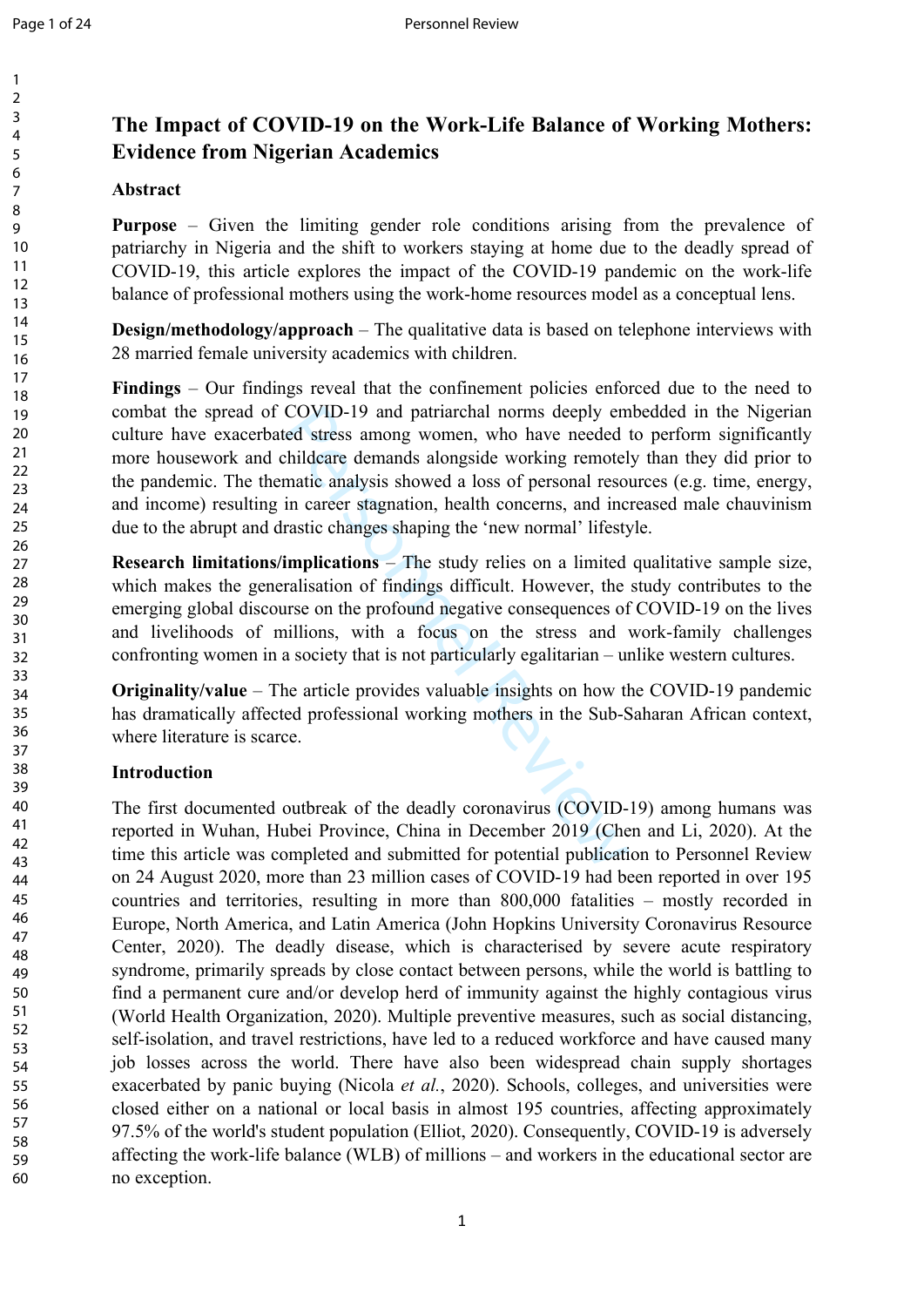$\mathbf{1}$  $\overline{2}$  $\overline{3}$  $\overline{4}$ 5 6  $\overline{7}$ 8 9

# **The Impact of COVID-19 on the Work-Life Balance of Working Mothers: Evidence from Nigerian Academics**

# **Abstract**

**Purpose** – Given the limiting gender role conditions arising from the prevalence of patriarchy in Nigeria and the shift to workers staying at home due to the deadly spread of COVID-19, this article explores the impact of the COVID-19 pandemic on the work-life balance of professional mothers using the work-home resources model as a conceptual lens.

**Design/methodology/approach** – The qualitative data is based on telephone interviews with 28 married female university academics with children.

COVID-19 and patriarchal norms deeply em<br>ed stress among women, who have needed<br>thildcare demands alongside working remotel<br>matic analysis showed a loss of personal reso<br>in career stagnation, health concerns, and inc<br>rasti **Findings** – Our findings reveal that the confinement policies enforced due to the need to combat the spread of COVID-19 and patriarchal norms deeply embedded in the Nigerian culture have exacerbated stress among women, who have needed to perform significantly more housework and childcare demands alongside working remotely than they did prior to the pandemic. The thematic analysis showed a loss of personal resources (e.g. time, energy, and income) resulting in career stagnation, health concerns, and increased male chauvinism due to the abrupt and drastic changes shaping the 'new normal' lifestyle.

**Research limitations/implications** – The study relies on a limited qualitative sample size, which makes the generalisation of findings difficult. However, the study contributes to the emerging global discourse on the profound negative consequences of COVID-19 on the lives and livelihoods of millions, with a focus on the stress and work-family challenges confronting women in a society that is not particularly egalitarian – unlike western cultures.

**Originality/value** – The article provides valuable insights on how the COVID-19 pandemic has dramatically affected professional working mothers in the Sub-Saharan African context, where literature is scarce.

# **Introduction**

The first documented outbreak of the deadly coronavirus (COVID-19) among humans was reported in Wuhan, Hubei Province, China in December 2019 (Chen and Li, 2020). At the time this article was completed and submitted for potential publication to Personnel Review on 24 August 2020, more than 23 million cases of COVID-19 had been reported in over 195 countries and territories, resulting in more than 800,000 fatalities – mostly recorded in Europe, North America, and Latin America (John Hopkins University Coronavirus Resource Center, 2020). The deadly disease, which is characterised by severe acute respiratory syndrome, primarily spreads by close contact between persons, while the world is battling to find a permanent cure and/or develop herd of immunity against the highly contagious virus (World Health Organization, 2020). Multiple preventive measures, such as social distancing, self-isolation, and travel restrictions, have led to a reduced workforce and have caused many job losses across the world. There have also been widespread chain supply shortages exacerbated by panic buying (Nicola *et al.*, 2020). Schools, colleges, and universities were closed either on a national or local basis in almost 195 countries, affecting approximately 97.5% of the world's student population (Elliot, 2020). Consequently, COVID-19 is adversely affecting the work-life balance (WLB) of millions – and workers in the educational sector are no exception.

37

41

43

47

49

51

55

57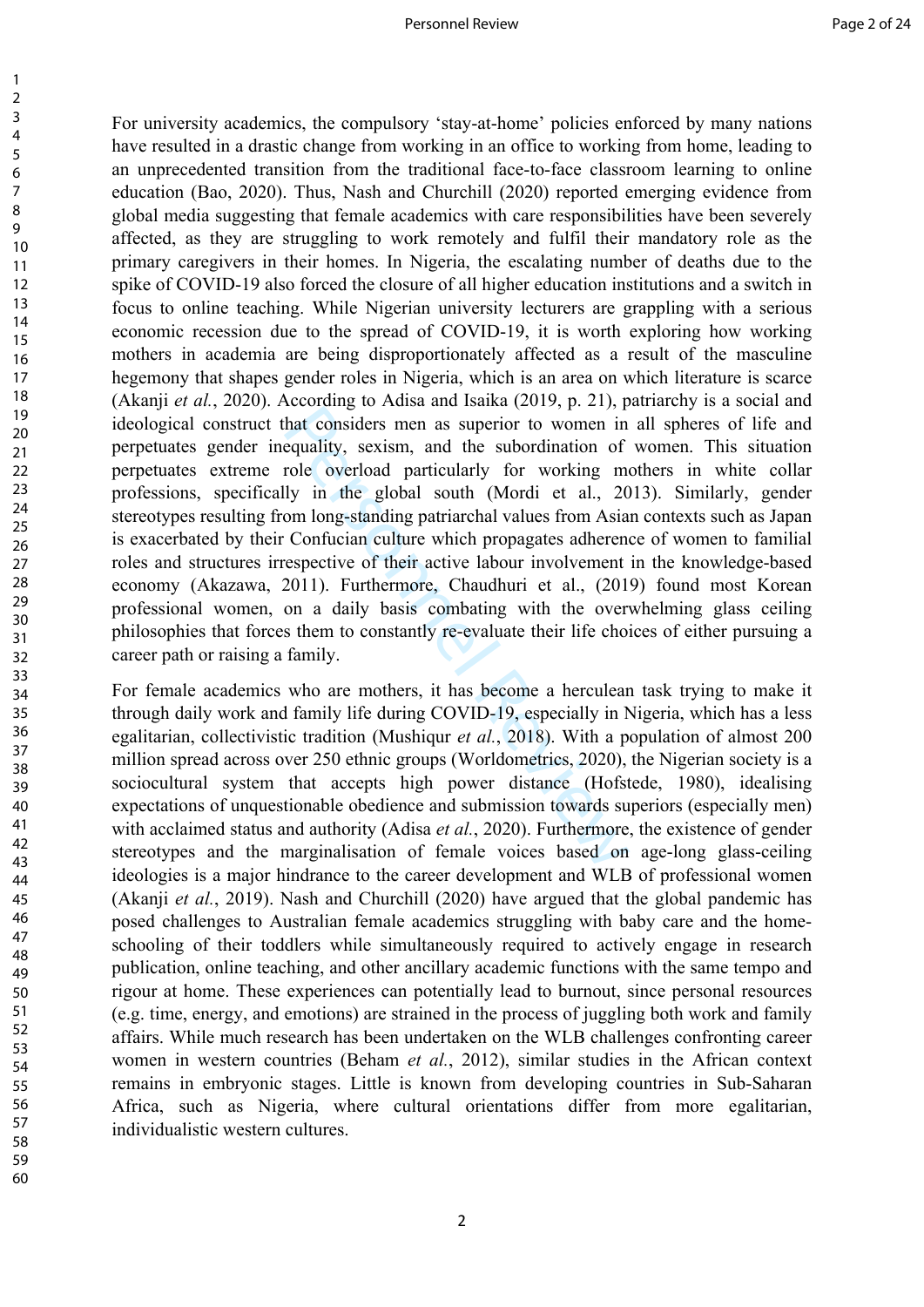$\mathbf{1}$ 

60

Fractional and superior to women in equality, sexism, and the subordination of role overload particularly for working may in the global south (Mordi et al., 20 om long-standing patriarchal values from Asia Confucian cultu For university academics, the compulsory 'stay-at-home' policies enforced by many nations have resulted in a drastic change from working in an office to working from home, leading to an unprecedented transition from the traditional face-to-face classroom learning to online education (Bao, 2020). Thus, Nash and Churchill (2020) reported emerging evidence from global media suggesting that female academics with care responsibilities have been severely affected, as they are struggling to work remotely and fulfil their mandatory role as the primary caregivers in their homes. In Nigeria, the escalating number of deaths due to the spike of COVID-19 also forced the closure of all higher education institutions and a switch in focus to online teaching. While Nigerian university lecturers are grappling with a serious economic recession due to the spread of COVID-19, it is worth exploring how working mothers in academia are being disproportionately affected as a result of the masculine hegemony that shapes gender roles in Nigeria, which is an area on which literature is scarce (Akanji *et al.*, 2020). According to Adisa and Isaika (2019, p. 21), patriarchy is a social and ideological construct that considers men as superior to women in all spheres of life and perpetuates gender inequality, sexism, and the subordination of women. This situation perpetuates extreme role overload particularly for working mothers in white collar professions, specifically in the global south (Mordi et al., 2013). Similarly, gender stereotypes resulting from long-standing patriarchal values from Asian contexts such as Japan is exacerbated by their Confucian culture which propagates adherence of women to familial roles and structures irrespective of their active labour involvement in the knowledge-based economy (Akazawa, 2011). Furthermore, Chaudhuri et al., (2019) found most Korean professional women, on a daily basis combating with the overwhelming glass ceiling philosophies that forces them to constantly re-evaluate their life choices of either pursuing a career path or raising a family.

For female academics who are mothers, it has become a herculean task trying to make it through daily work and family life during COVID-19, especially in Nigeria, which has a less egalitarian, collectivistic tradition (Mushiqur *et al.*, 2018). With a population of almost 200 million spread across over 250 ethnic groups (Worldometrics, 2020), the Nigerian society is a sociocultural system that accepts high power distance (Hofstede, 1980), idealising expectations of unquestionable obedience and submission towards superiors (especially men) with acclaimed status and authority (Adisa *et al.*, 2020). Furthermore, the existence of gender stereotypes and the marginalisation of female voices based on age-long glass-ceiling ideologies is a major hindrance to the career development and WLB of professional women (Akanji *et al.*, 2019). Nash and Churchill (2020) have argued that the global pandemic has posed challenges to Australian female academics struggling with baby care and the homeschooling of their toddlers while simultaneously required to actively engage in research publication, online teaching, and other ancillary academic functions with the same tempo and rigour at home. These experiences can potentially lead to burnout, since personal resources (e.g. time, energy, and emotions) are strained in the process of juggling both work and family affairs. While much research has been undertaken on the WLB challenges confronting career women in western countries (Beham *et al.*, 2012), similar studies in the African context remains in embryonic stages. Little is known from developing countries in Sub-Saharan Africa, such as Nigeria, where cultural orientations differ from more egalitarian, individualistic western cultures.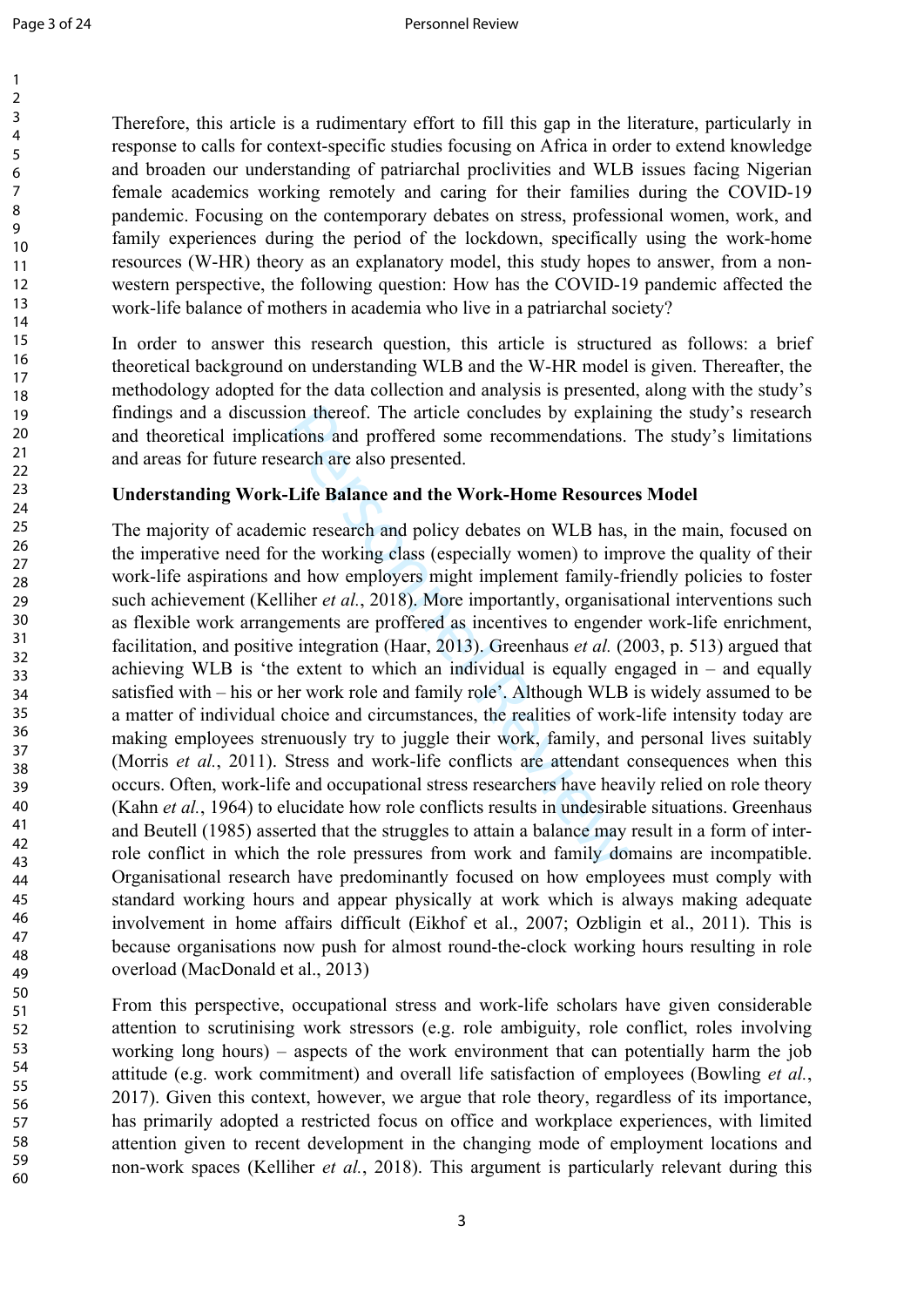Therefore, this article is a rudimentary effort to fill this gap in the literature, particularly in response to calls for context-specific studies focusing on Africa in order to extend knowledge and broaden our understanding of patriarchal proclivities and WLB issues facing Nigerian female academics working remotely and caring for their families during the COVID-19 pandemic. Focusing on the contemporary debates on stress, professional women, work, and family experiences during the period of the lockdown, specifically using the work-home resources (W-HR) theory as an explanatory model, this study hopes to answer, from a nonwestern perspective, the following question: How has the COVID-19 pandemic affected the work-life balance of mothers in academia who live in a patriarchal society?

In order to answer this research question, this article is structured as follows: a brief theoretical background on understanding WLB and the W-HR model is given. Thereafter, the methodology adopted for the data collection and analysis is presented, along with the study's findings and a discussion thereof. The article concludes by explaining the study's research and theoretical implications and proffered some recommendations. The study's limitations and areas for future research are also presented.

## **Understanding Work-Life Balance and the Work-Home Resources Model**

ion thereof. The article concludes by explain<br>tions and proffered some recommendations.<br>earch are also presented.<br>**-Life Balance and the Work-Home Resource**<br>mic research and policy debates on WLB has,<br>the working class (e The majority of academic research and policy debates on WLB has, in the main, focused on the imperative need for the working class (especially women) to improve the quality of their work-life aspirations and how employers might implement family-friendly policies to foster such achievement (Kelliher *et al.*, 2018). More importantly, organisational interventions such as flexible work arrangements are proffered as incentives to engender work-life enrichment, facilitation, and positive integration (Haar, 2013). Greenhaus *et al.* (2003, p. 513) argued that achieving WLB is 'the extent to which an individual is equally engaged in – and equally satisfied with – his or her work role and family role'. Although WLB is widely assumed to be a matter of individual choice and circumstances, the realities of work-life intensity today are making employees strenuously try to juggle their work, family, and personal lives suitably (Morris *et al.*, 2011). Stress and work-life conflicts are attendant consequences when this occurs. Often, work-life and occupational stress researchers have heavily relied on role theory (Kahn *et al.*, 1964) to elucidate how role conflicts results in undesirable situations. Greenhaus and Beutell (1985) asserted that the struggles to attain a balance may result in a form of interrole conflict in which the role pressures from work and family domains are incompatible. Organisational research have predominantly focused on how employees must comply with standard working hours and appear physically at work which is always making adequate involvement in home affairs difficult (Eikhof et al., 2007; Ozbligin et al., 2011). This is because organisations now push for almost round-the-clock working hours resulting in role overload (MacDonald et al., 2013)

From this perspective, occupational stress and work-life scholars have given considerable attention to scrutinising work stressors (e.g. role ambiguity, role conflict, roles involving working long hours) – aspects of the work environment that can potentially harm the job attitude (e.g. work commitment) and overall life satisfaction of employees (Bowling *et al.*, 2017). Given this context, however, we argue that role theory, regardless of its importance, has primarily adopted a restricted focus on office and workplace experiences, with limited attention given to recent development in the changing mode of employment locations and non-work spaces (Kelliher *et al.*, 2018). This argument is particularly relevant during this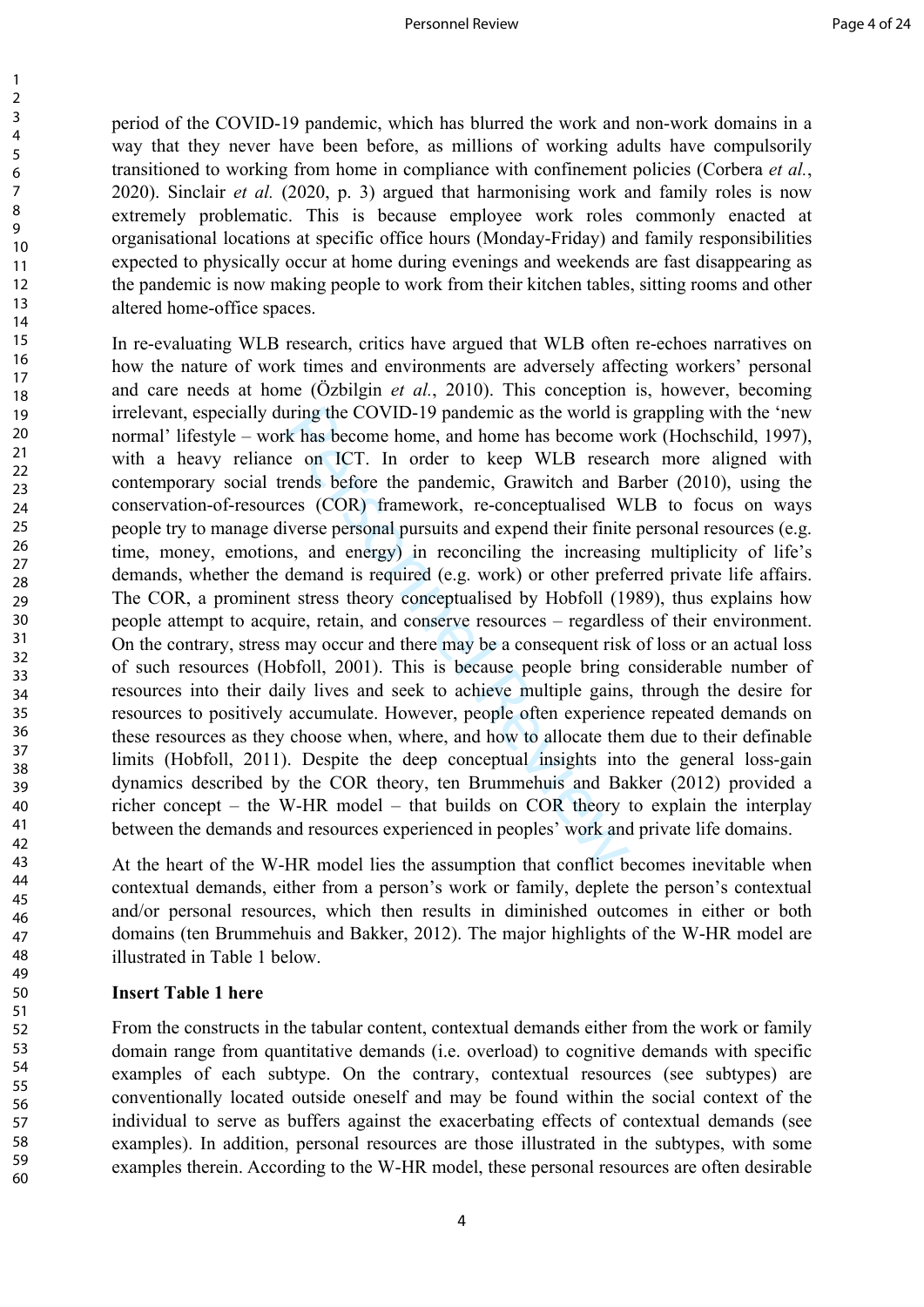period of the COVID-19 pandemic, which has blurred the work and non-work domains in a way that they never have been before, as millions of working adults have compulsorily transitioned to working from home in compliance with confinement policies (Corbera *et al.*, 2020). Sinclair *et al.* (2020, p. 3) argued that harmonising work and family roles is now extremely problematic. This is because employee work roles commonly enacted at organisational locations at specific office hours (Monday-Friday) and family responsibilities expected to physically occur at home during evenings and weekends are fast disappearing as the pandemic is now making people to work from their kitchen tables, sitting rooms and other altered home-office spaces.

uring the COVID-19 pandemic as the world is<br>
k has become home, and home has become w<br>
e on ICT. In order to keep WLB resear<br>
rends before the pandemic, Grawitch and B<br>
ces (COR) framework, re-conceptualised W<br>
iverse pers In re-evaluating WLB research, critics have argued that WLB often re-echoes narratives on how the nature of work times and environments are adversely affecting workers' personal and care needs at home (Özbilgin *et al.*, 2010). This conception is, however, becoming irrelevant, especially during the COVID-19 pandemic as the world is grappling with the 'new normal' lifestyle – work has become home, and home has become work (Hochschild, 1997), with a heavy reliance on ICT. In order to keep WLB research more aligned with contemporary social trends before the pandemic, Grawitch and Barber (2010), using the conservation-of-resources (COR) framework, re-conceptualised WLB to focus on ways people try to manage diverse personal pursuits and expend their finite personal resources (e.g. time, money, emotions, and energy) in reconciling the increasing multiplicity of life's demands, whether the demand is required (e.g. work) or other preferred private life affairs. The COR, a prominent stress theory conceptualised by Hobfoll (1989), thus explains how people attempt to acquire, retain, and conserve resources – regardless of their environment. On the contrary, stress may occur and there may be a consequent risk of loss or an actual loss of such resources (Hobfoll, 2001). This is because people bring considerable number of resources into their daily lives and seek to achieve multiple gains, through the desire for resources to positively accumulate. However, people often experience repeated demands on these resources as they choose when, where, and how to allocate them due to their definable limits (Hobfoll, 2011). Despite the deep conceptual insights into the general loss-gain dynamics described by the COR theory, ten Brummehuis and Bakker (2012) provided a richer concept – the W-HR model – that builds on COR theory to explain the interplay between the demands and resources experienced in peoples' work and private life domains.

At the heart of the W-HR model lies the assumption that conflict becomes inevitable when contextual demands, either from a person's work or family, deplete the person's contextual and/or personal resources, which then results in diminished outcomes in either or both domains (ten Brummehuis and Bakker, 2012). The major highlights of the W-HR model are illustrated in Table 1 below.

# **Insert Table 1 here**

From the constructs in the tabular content, contextual demands either from the work or family domain range from quantitative demands (i.e. overload) to cognitive demands with specific examples of each subtype. On the contrary, contextual resources (see subtypes) are conventionally located outside oneself and may be found within the social context of the individual to serve as buffers against the exacerbating effects of contextual demands (see examples). In addition, personal resources are those illustrated in the subtypes, with some examples therein. According to the W-HR model, these personal resources are often desirable

 $\mathbf{1}$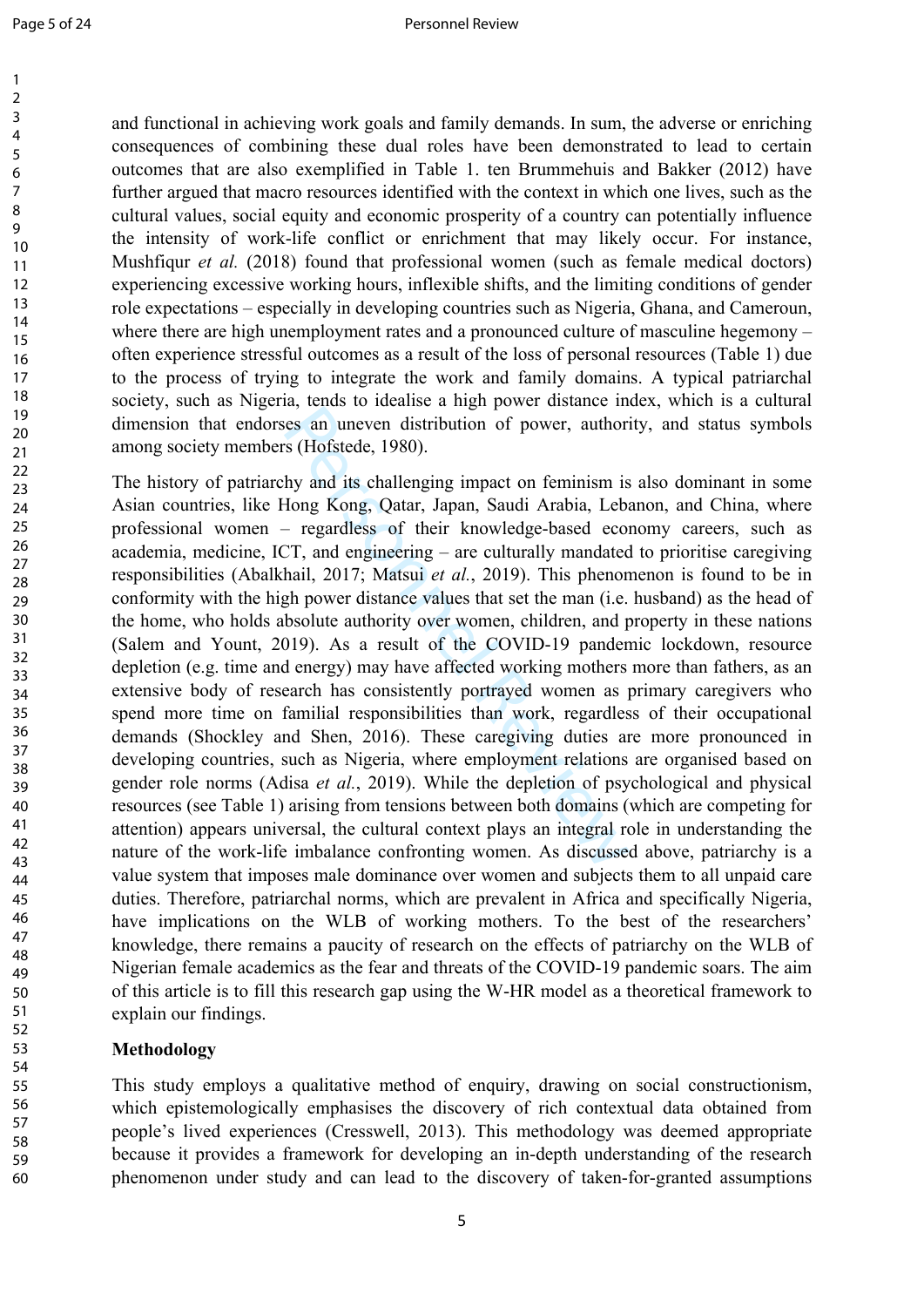and functional in achieving work goals and family demands. In sum, the adverse or enriching consequences of combining these dual roles have been demonstrated to lead to certain outcomes that are also exemplified in Table 1. ten Brummehuis and Bakker (2012) have further argued that macro resources identified with the context in which one lives, such as the cultural values, social equity and economic prosperity of a country can potentially influence the intensity of work-life conflict or enrichment that may likely occur. For instance, Mushfiqur *et al.* (2018) found that professional women (such as female medical doctors) experiencing excessive working hours, inflexible shifts, and the limiting conditions of gender role expectations – especially in developing countries such as Nigeria, Ghana, and Cameroun, where there are high unemployment rates and a pronounced culture of masculine hegemony – often experience stressful outcomes as a result of the loss of personal resources (Table 1) due to the process of trying to integrate the work and family domains. A typical patriarchal society, such as Nigeria, tends to idealise a high power distance index, which is a cultural dimension that endorses an uneven distribution of power, authority, and status symbols among society members (Hofstede, 1980).

Less an uneven distribution of power, authors (Hofstede, 1980).<br>
hy and its challenging impact on feminism is<br>
Hong Kong, Qatar, Japan, Saudi Arabia, Lebi-<br>
regardless of their knowledge-based eco<br>
CT, and engineering – a The history of patriarchy and its challenging impact on feminism is also dominant in some Asian countries, like Hong Kong, Qatar, Japan, Saudi Arabia, Lebanon, and China, where professional women – regardless of their knowledge-based economy careers, such as academia, medicine, ICT, and engineering – are culturally mandated to prioritise caregiving responsibilities (Abalkhail, 2017; Matsui *et al.*, 2019). This phenomenon is found to be in conformity with the high power distance values that set the man (i.e. husband) as the head of the home, who holds absolute authority over women, children, and property in these nations (Salem and Yount, 2019). As a result of the COVID-19 pandemic lockdown, resource depletion (e.g. time and energy) may have affected working mothers more than fathers, as an extensive body of research has consistently portrayed women as primary caregivers who spend more time on familial responsibilities than work, regardless of their occupational demands (Shockley and Shen, 2016). These caregiving duties are more pronounced in developing countries, such as Nigeria, where employment relations are organised based on gender role norms (Adisa *et al.*, 2019). While the depletion of psychological and physical resources (see Table 1) arising from tensions between both domains (which are competing for attention) appears universal, the cultural context plays an integral role in understanding the nature of the work-life imbalance confronting women. As discussed above, patriarchy is a value system that imposes male dominance over women and subjects them to all unpaid care duties. Therefore, patriarchal norms, which are prevalent in Africa and specifically Nigeria, have implications on the WLB of working mothers. To the best of the researchers' knowledge, there remains a paucity of research on the effects of patriarchy on the WLB of Nigerian female academics as the fear and threats of the COVID-19 pandemic soars. The aim of this article is to fill this research gap using the W-HR model as a theoretical framework to explain our findings.

# **Methodology**

This study employs a qualitative method of enquiry, drawing on social constructionism, which epistemologically emphasises the discovery of rich contextual data obtained from people's lived experiences (Cresswell, 2013). This methodology was deemed appropriate because it provides a framework for developing an in-depth understanding of the research phenomenon under study and can lead to the discovery of taken-for-granted assumptions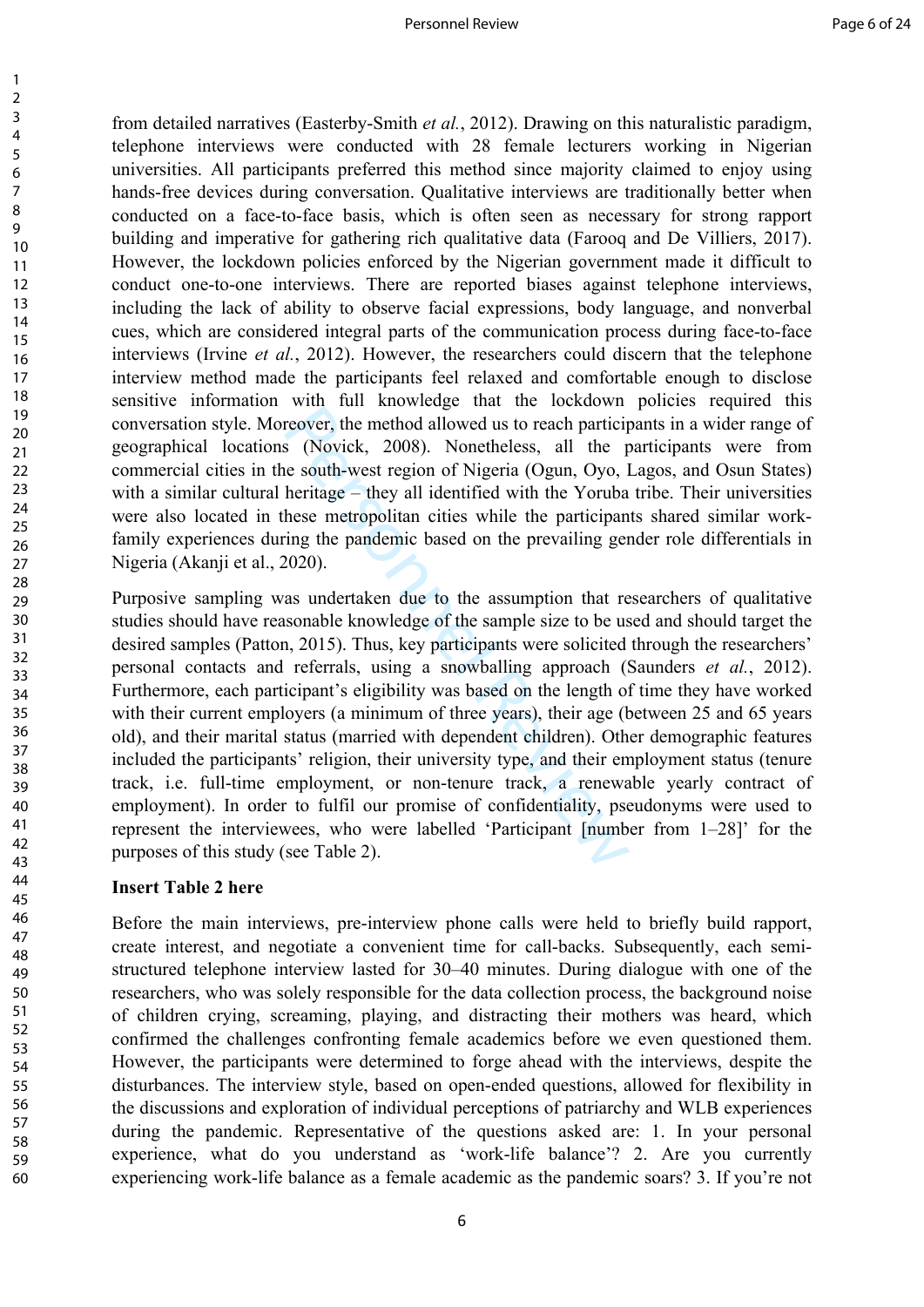from detailed narratives (Easterby-Smith *et al.*, 2012). Drawing on this naturalistic paradigm, telephone interviews were conducted with 28 female lecturers working in Nigerian universities. All participants preferred this method since majority claimed to enjoy using hands-free devices during conversation. Qualitative interviews are traditionally better when conducted on a face-to-face basis, which is often seen as necessary for strong rapport building and imperative for gathering rich qualitative data (Farooq and De Villiers, 2017). However, the lockdown policies enforced by the Nigerian government made it difficult to conduct one-to-one interviews. There are reported biases against telephone interviews, including the lack of ability to observe facial expressions, body language, and nonverbal cues, which are considered integral parts of the communication process during face-to-face interviews (Irvine *et al.*, 2012). However, the researchers could discern that the telephone interview method made the participants feel relaxed and comfortable enough to disclose sensitive information with full knowledge that the lockdown policies required this conversation style. Moreover, the method allowed us to reach participants in a wider range of geographical locations (Novick, 2008). Nonetheless, all the participants were from commercial cities in the south-west region of Nigeria (Ogun, Oyo, Lagos, and Osun States) with a similar cultural heritage – they all identified with the Yoruba tribe. Their universities were also located in these metropolitan cities while the participants shared similar workfamily experiences during the pandemic based on the prevailing gender role differentials in Nigeria (Akanji et al., 2020).

reover, the method allowed us to reach participate (Novick, 2008). Nonetheless, all the personth-west region of Nigeria (Ogun, Oyo, lentitage – they all identified with the Yoruba hese metropolitan cities while the partici Purposive sampling was undertaken due to the assumption that researchers of qualitative studies should have reasonable knowledge of the sample size to be used and should target the desired samples (Patton, 2015). Thus, key participants were solicited through the researchers' personal contacts and referrals, using a snowballing approach (Saunders *et al.*, 2012). Furthermore, each participant's eligibility was based on the length of time they have worked with their current employers (a minimum of three years), their age (between 25 and 65 years old), and their marital status (married with dependent children). Other demographic features included the participants' religion, their university type, and their employment status (tenure track, i.e. full-time employment, or non-tenure track, a renewable yearly contract of employment). In order to fulfil our promise of confidentiality, pseudonyms were used to represent the interviewees, who were labelled 'Participant [number from 1–28]' for the purposes of this study (see Table 2).

## **Insert Table 2 here**

123456789

 $\mathbf{1}$  $\overline{2}$  $\overline{3}$  $\overline{4}$ 5 6  $\overline{7}$ 8 9

Before the main interviews, pre-interview phone calls were held to briefly build rapport, create interest, and negotiate a convenient time for call-backs. Subsequently, each semistructured telephone interview lasted for 30–40 minutes. During dialogue with one of the researchers, who was solely responsible for the data collection process, the background noise of children crying, screaming, playing, and distracting their mothers was heard, which confirmed the challenges confronting female academics before we even questioned them. However, the participants were determined to forge ahead with the interviews, despite the disturbances. The interview style, based on open-ended questions, allowed for flexibility in the discussions and exploration of individual perceptions of patriarchy and WLB experiences during the pandemic. Representative of the questions asked are: 1. In your personal experience, what do you understand as 'work-life balance'? 2. Are you currently experiencing work-life balance as a female academic as the pandemic soars? 3. If you're not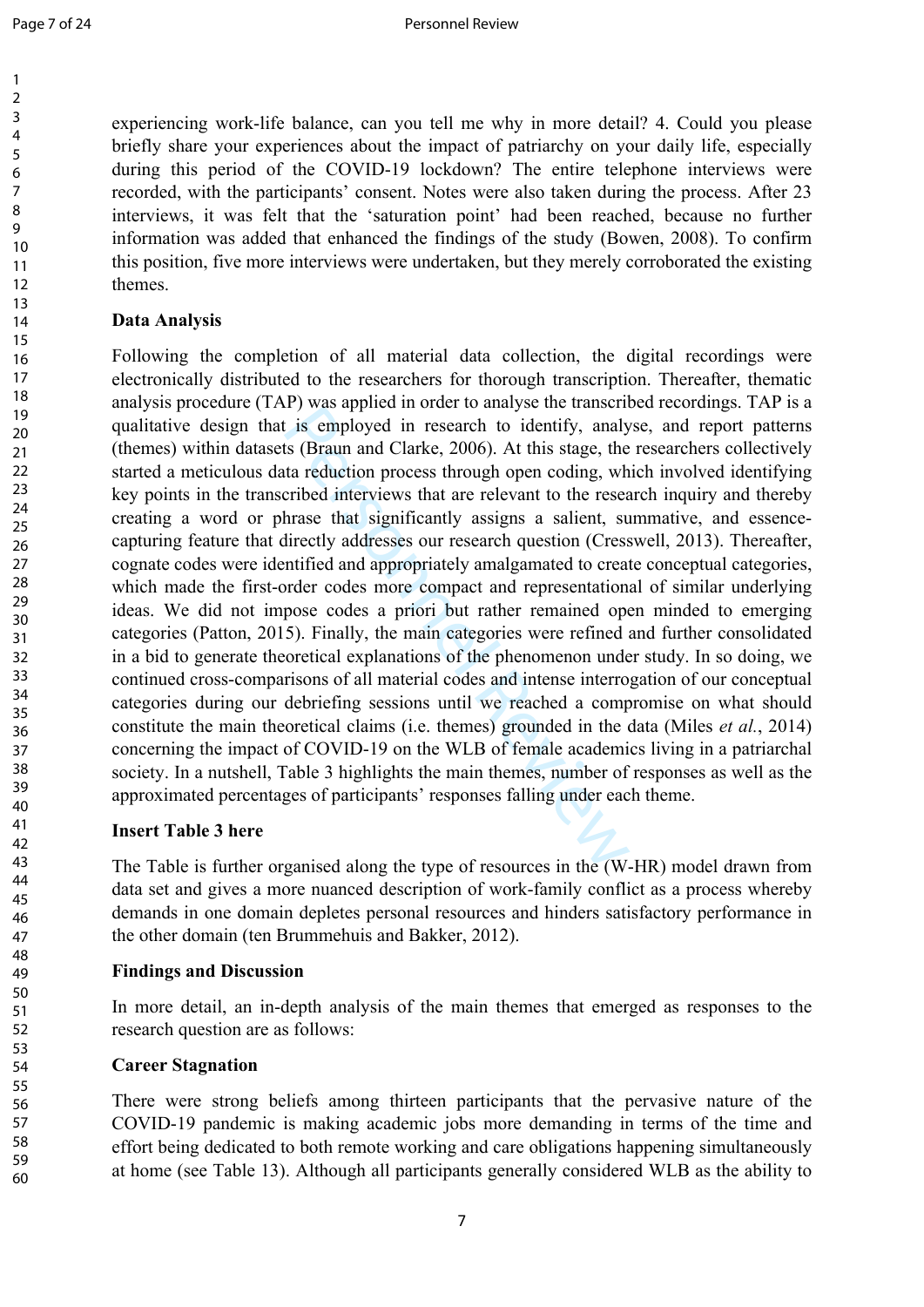experiencing work-life balance, can you tell me why in more detail? 4. Could you please briefly share your experiences about the impact of patriarchy on your daily life, especially during this period of the COVID-19 lockdown? The entire telephone interviews were recorded, with the participants' consent. Notes were also taken during the process. After 23 interviews, it was felt that the 'saturation point' had been reached, because no further information was added that enhanced the findings of the study (Bowen, 2008). To confirm this position, five more interviews were undertaken, but they merely corroborated the existing themes.

## **Data Analysis**

r y was applied in order to analyse are atassem<br>t is employed in research to identify, analy<br>ts (Braun and Clarke, 2006). At this stage, the<br>ta reduction process through open coding, wh<br>cribed interviews that are relevant Following the completion of all material data collection, the digital recordings were electronically distributed to the researchers for thorough transcription. Thereafter, thematic analysis procedure (TAP) was applied in order to analyse the transcribed recordings. TAP is a qualitative design that is employed in research to identify, analyse, and report patterns (themes) within datasets (Braun and Clarke, 2006). At this stage, the researchers collectively started a meticulous data reduction process through open coding, which involved identifying key points in the transcribed interviews that are relevant to the research inquiry and thereby creating a word or phrase that significantly assigns a salient, summative, and essencecapturing feature that directly addresses our research question (Cresswell, 2013). Thereafter, cognate codes were identified and appropriately amalgamated to create conceptual categories, which made the first-order codes more compact and representational of similar underlying ideas. We did not impose codes a priori but rather remained open minded to emerging categories (Patton, 2015). Finally, the main categories were refined and further consolidated in a bid to generate theoretical explanations of the phenomenon under study. In so doing, we continued cross-comparisons of all material codes and intense interrogation of our conceptual categories during our debriefing sessions until we reached a compromise on what should constitute the main theoretical claims (i.e. themes) grounded in the data (Miles *et al.*, 2014) concerning the impact of COVID-19 on the WLB of female academics living in a patriarchal society. In a nutshell, Table 3 highlights the main themes, number of responses as well as the approximated percentages of participants' responses falling under each theme.

# **Insert Table 3 here**

The Table is further organised along the type of resources in the (W-HR) model drawn from data set and gives a more nuanced description of work-family conflict as a process whereby demands in one domain depletes personal resources and hinders satisfactory performance in the other domain (ten Brummehuis and Bakker, 2012).

## **Findings and Discussion**

In more detail, an in-depth analysis of the main themes that emerged as responses to the research question are as follows:

# **Career Stagnation**

There were strong beliefs among thirteen participants that the pervasive nature of the COVID-19 pandemic is making academic jobs more demanding in terms of the time and effort being dedicated to both remote working and care obligations happening simultaneously at home (see Table 13). Although all participants generally considered WLB as the ability to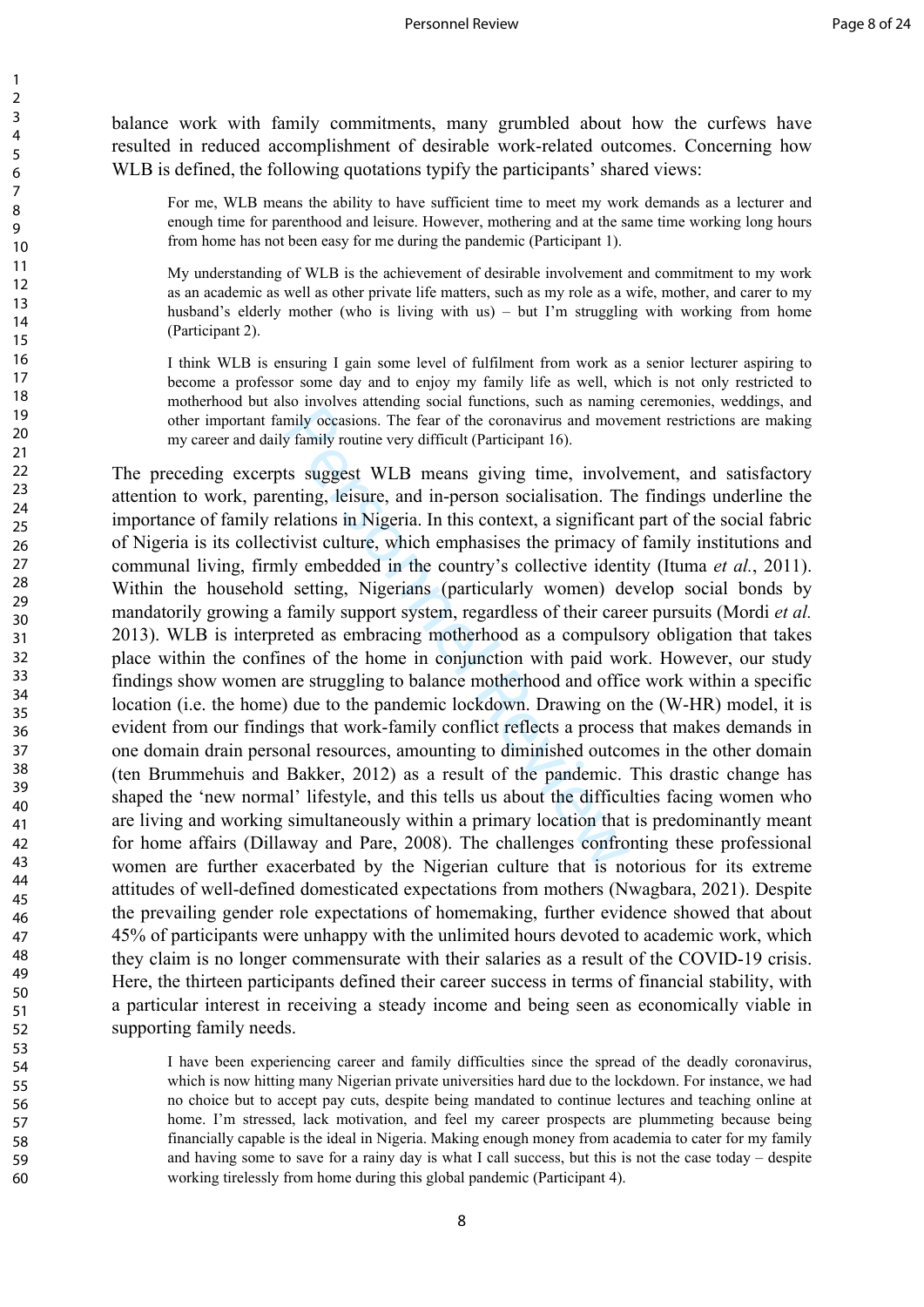balance work with family commitments, many grumbled about how the curfews have resulted in reduced accomplishment of desirable work-related outcomes. Concerning how WLB is defined, the following quotations typify the participants' shared views:

For me, WLB means the ability to have sufficient time to meet my work demands as a lecturer and enough time for parenthood and leisure. However, mothering and at the same time working long hours from home has not been easy for me during the pandemic (Participant 1).

My understanding of WLB is the achievement of desirable involvement and commitment to my work as an academic as well as other private life matters, such as my role as a wife, mother, and carer to my husband's elderly mother (who is living with us) – but I'm struggling with working from home (Participant 2).

I think WLB is ensuring I gain some level of fulfilment from work as a senior lecturer aspiring to become a professor some day and to enjoy my family life as well, which is not only restricted to motherhood but also involves attending social functions, such as naming ceremonies, weddings, and other important family occasions. The fear of the coronavirus and movement restrictions are making my career and daily family routine very difficult (Participant 16).

mily occasions. The fear of the coronavirus and move<br>y family routine very difficult (Participant 16).<br>ts suggest WLB means giving time, involv<br>thing, leisure, and in-person socialisation. Th<br>elations in Nigeria. In this c The preceding excerpts suggest WLB means giving time, involvement, and satisfactory attention to work, parenting, leisure, and in-person socialisation. The findings underline the importance of family relations in Nigeria. In this context, a significant part of the social fabric of Nigeria is its collectivist culture, which emphasises the primacy of family institutions and communal living, firmly embedded in the country's collective identity (Ituma *et al.*, 2011). Within the household setting, Nigerians (particularly women) develop social bonds by mandatorily growing a family support system, regardless of their career pursuits (Mordi *et al.* 2013). WLB is interpreted as embracing motherhood as a compulsory obligation that takes place within the confines of the home in conjunction with paid work. However, our study findings show women are struggling to balance motherhood and office work within a specific location (i.e. the home) due to the pandemic lockdown. Drawing on the (W-HR) model, it is evident from our findings that work-family conflict reflects a process that makes demands in one domain drain personal resources, amounting to diminished outcomes in the other domain (ten Brummehuis and Bakker, 2012) as a result of the pandemic. This drastic change has shaped the 'new normal' lifestyle, and this tells us about the difficulties facing women who are living and working simultaneously within a primary location that is predominantly meant for home affairs (Dillaway and Pare, 2008). The challenges confronting these professional women are further exacerbated by the Nigerian culture that is notorious for its extreme attitudes of well-defined domesticated expectations from mothers (Nwagbara, 2021). Despite the prevailing gender role expectations of homemaking, further evidence showed that about 45% of participants were unhappy with the unlimited hours devoted to academic work, which they claim is no longer commensurate with their salaries as a result of the COVID-19 crisis. Here, the thirteen participants defined their career success in terms of financial stability, with a particular interest in receiving a steady income and being seen as economically viable in supporting family needs.

I have been experiencing career and family difficulties since the spread of the deadly coronavirus, which is now hitting many Nigerian private universities hard due to the lockdown. For instance, we had no choice but to accept pay cuts, despite being mandated to continue lectures and teaching online at home. I'm stressed, lack motivation, and feel my career prospects are plummeting because being financially capable is the ideal in Nigeria. Making enough money from academia to cater for my family and having some to save for a rainy day is what I call success, but this is not the case today – despite working tirelessly from home during this global pandemic (Participant 4).

 $\mathbf{1}$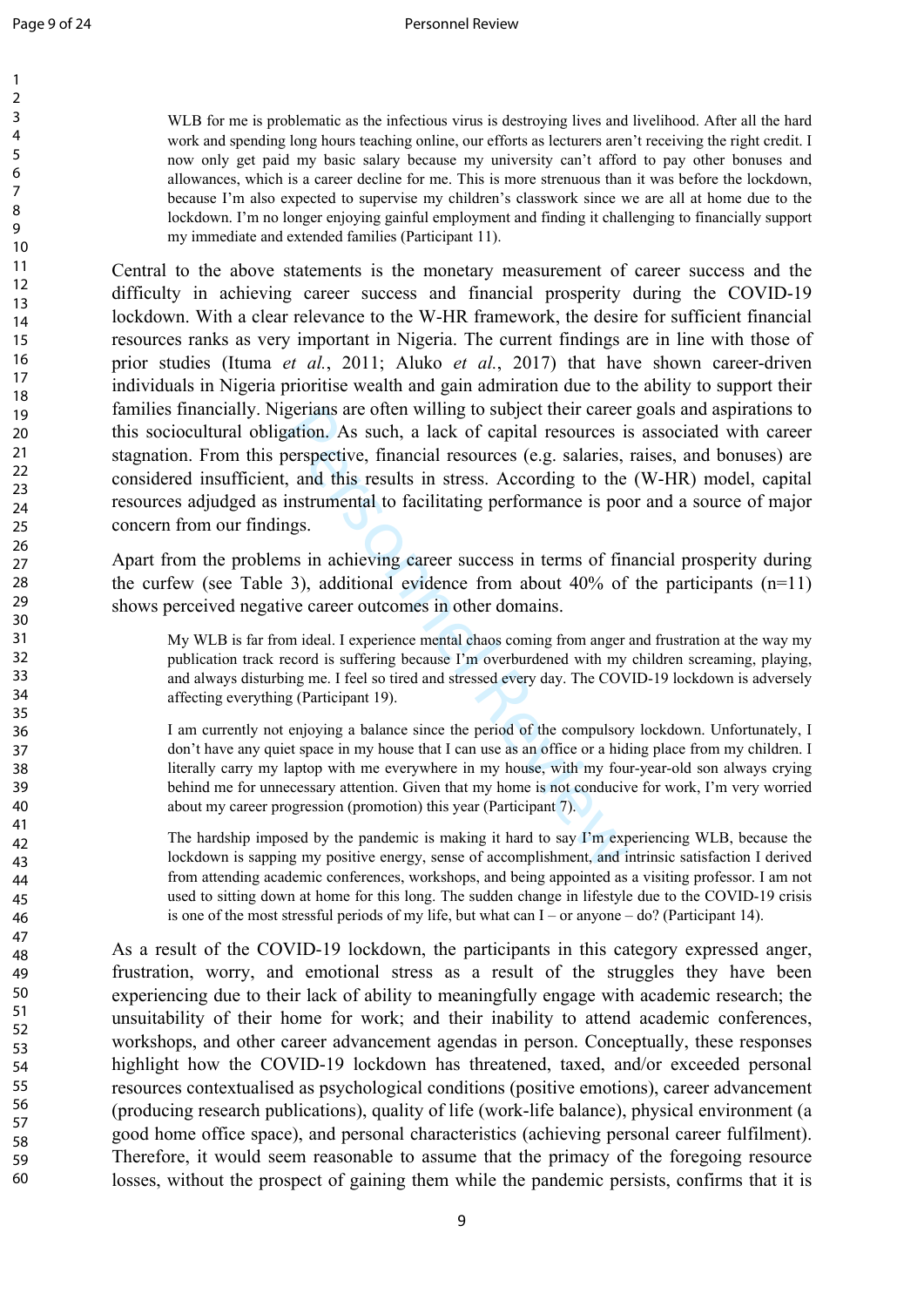$\mathbf{1}$ 

> 59 60

WLB for me is problematic as the infectious virus is destroying lives and livelihood. After all the hard work and spending long hours teaching online, our efforts as lecturers aren't receiving the right credit. I now only get paid my basic salary because my university can't afford to pay other bonuses and allowances, which is a career decline for me. This is more strenuous than it was before the lockdown, because I'm also expected to supervise my children's classwork since we are all at home due to the lockdown. I'm no longer enjoying gainful employment and finding it challenging to financially support my immediate and extended families (Participant 11).

gerians are often willing to subject their career<br>gation. As such, a lack of capital resources is<br>berspective, financial resources (e.g. salaries,<br>, and this results in stress. According to the<br>instrumental to facilitating Central to the above statements is the monetary measurement of career success and the difficulty in achieving career success and financial prosperity during the COVID-19 lockdown. With a clear relevance to the W-HR framework, the desire for sufficient financial resources ranks as very important in Nigeria. The current findings are in line with those of prior studies (Ituma *et al.*, 2011; Aluko *et al.*, 2017) that have shown career-driven individuals in Nigeria prioritise wealth and gain admiration due to the ability to support their families financially. Nigerians are often willing to subject their career goals and aspirations to this sociocultural obligation. As such, a lack of capital resources is associated with career stagnation. From this perspective, financial resources (e.g. salaries, raises, and bonuses) are considered insufficient, and this results in stress. According to the (W-HR) model, capital resources adjudged as instrumental to facilitating performance is poor and a source of major concern from our findings.

Apart from the problems in achieving career success in terms of financial prosperity during the curfew (see Table 3), additional evidence from about  $40\%$  of the participants (n=11) shows perceived negative career outcomes in other domains.

My WLB is far from ideal. I experience mental chaos coming from anger and frustration at the way my publication track record is suffering because I'm overburdened with my children screaming, playing, and always disturbing me. I feel so tired and stressed every day. The COVID-19 lockdown is adversely affecting everything (Participant 19).

I am currently not enjoying a balance since the period of the compulsory lockdown. Unfortunately, I don't have any quiet space in my house that I can use as an office or a hiding place from my children. I literally carry my laptop with me everywhere in my house, with my four-year-old son always crying behind me for unnecessary attention. Given that my home is not conducive for work, I'm very worried about my career progression (promotion) this year (Participant 7).

The hardship imposed by the pandemic is making it hard to say I'm experiencing WLB, because the lockdown is sapping my positive energy, sense of accomplishment, and intrinsic satisfaction I derived from attending academic conferences, workshops, and being appointed as a visiting professor. I am not used to sitting down at home for this long. The sudden change in lifestyle due to the COVID-19 crisis is one of the most stressful periods of my life, but what can I – or anyone – do? (Participant 14).

As a result of the COVID-19 lockdown, the participants in this category expressed anger, frustration, worry, and emotional stress as a result of the struggles they have been experiencing due to their lack of ability to meaningfully engage with academic research; the unsuitability of their home for work; and their inability to attend academic conferences, workshops, and other career advancement agendas in person. Conceptually, these responses highlight how the COVID-19 lockdown has threatened, taxed, and/or exceeded personal resources contextualised as psychological conditions (positive emotions), career advancement (producing research publications), quality of life (work-life balance), physical environment (a good home office space), and personal characteristics (achieving personal career fulfilment). Therefore, it would seem reasonable to assume that the primacy of the foregoing resource losses, without the prospect of gaining them while the pandemic persists, confirms that it is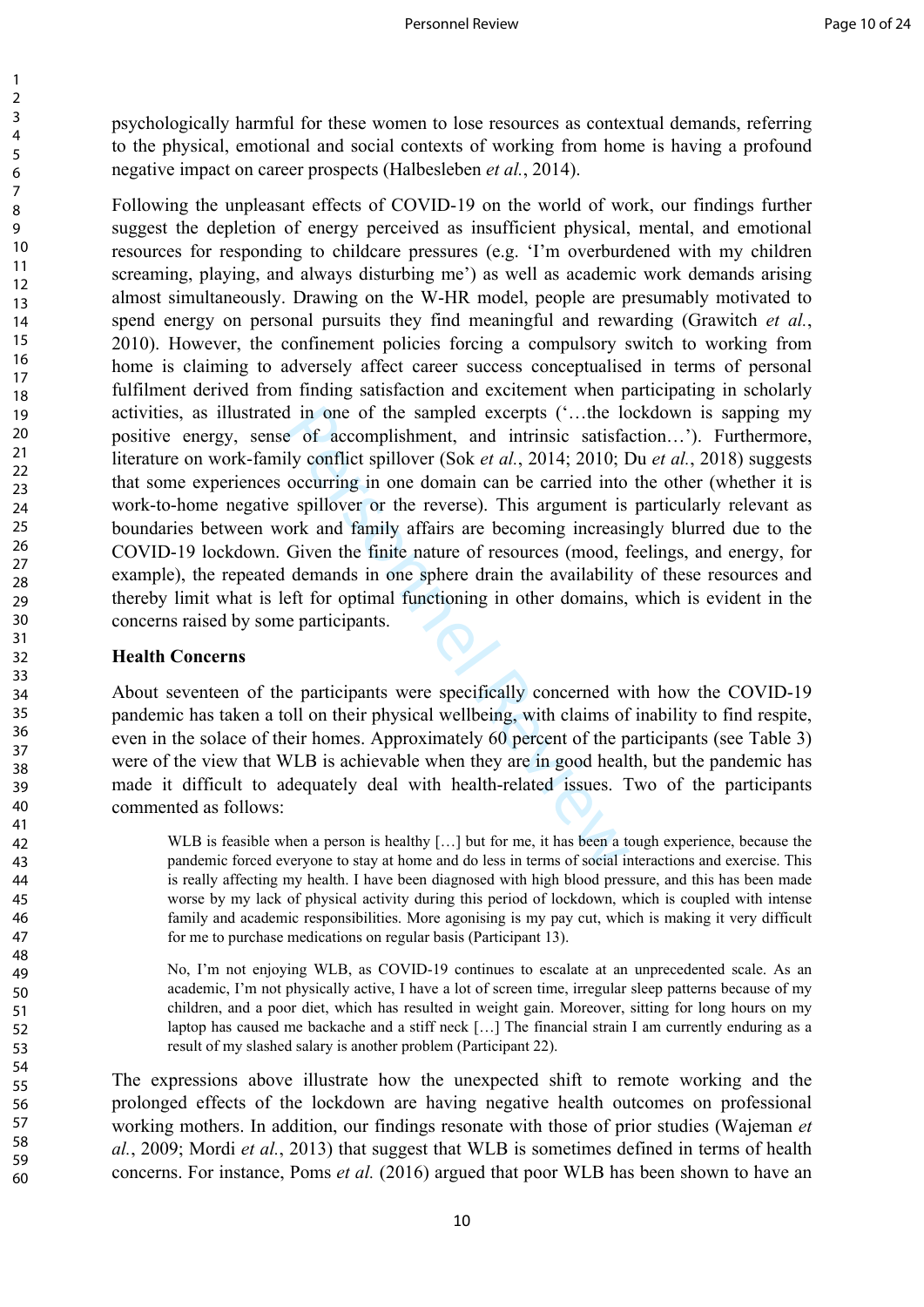psychologically harmful for these women to lose resources as contextual demands, referring to the physical, emotional and social contexts of working from home is having a profound negative impact on career prospects (Halbesleben *et al.*, 2014).

Personnel Review Following the unpleasant effects of COVID-19 on the world of work, our findings further suggest the depletion of energy perceived as insufficient physical, mental, and emotional resources for responding to childcare pressures (e.g. 'I'm overburdened with my children screaming, playing, and always disturbing me') as well as academic work demands arising almost simultaneously. Drawing on the W-HR model, people are presumably motivated to spend energy on personal pursuits they find meaningful and rewarding (Grawitch *et al.*, 2010). However, the confinement policies forcing a compulsory switch to working from home is claiming to adversely affect career success conceptualised in terms of personal fulfilment derived from finding satisfaction and excitement when participating in scholarly activities, as illustrated in one of the sampled excerpts ('…the lockdown is sapping my positive energy, sense of accomplishment, and intrinsic satisfaction…'). Furthermore, literature on work-family conflict spillover (Sok *et al.*, 2014; 2010; Du *et al.*, 2018) suggests that some experiences occurring in one domain can be carried into the other (whether it is work-to-home negative spillover or the reverse). This argument is particularly relevant as boundaries between work and family affairs are becoming increasingly blurred due to the COVID-19 lockdown. Given the finite nature of resources (mood, feelings, and energy, for example), the repeated demands in one sphere drain the availability of these resources and thereby limit what is left for optimal functioning in other domains, which is evident in the concerns raised by some participants.

#### **Health Concerns**

About seventeen of the participants were specifically concerned with how the COVID-19 pandemic has taken a toll on their physical wellbeing, with claims of inability to find respite, even in the solace of their homes. Approximately 60 percent of the participants (see Table 3) were of the view that WLB is achievable when they are in good health, but the pandemic has made it difficult to adequately deal with health-related issues. Two of the participants commented as follows:

WLB is feasible when a person is healthy [...] but for me, it has been a tough experience, because the pandemic forced everyone to stay at home and do less in terms of social interactions and exercise. This is really affecting my health. I have been diagnosed with high blood pressure, and this has been made worse by my lack of physical activity during this period of lockdown, which is coupled with intense family and academic responsibilities. More agonising is my pay cut, which is making it very difficult for me to purchase medications on regular basis (Participant 13).

No, I'm not enjoying WLB, as COVID-19 continues to escalate at an unprecedented scale. As an academic, I'm not physically active, I have a lot of screen time, irregular sleep patterns because of my children, and a poor diet, which has resulted in weight gain. Moreover, sitting for long hours on my laptop has caused me backache and a stiff neck […] The financial strain I am currently enduring as a result of my slashed salary is another problem (Participant 22).

The expressions above illustrate how the unexpected shift to remote working and the prolonged effects of the lockdown are having negative health outcomes on professional working mothers. In addition, our findings resonate with those of prior studies (Wajeman *et al.*, 2009; Mordi *et al.*, 2013) that suggest that WLB is sometimes defined in terms of health concerns. For instance, Poms *et al.* (2016) argued that poor WLB has been shown to have an

 $\mathbf{1}$  $\overline{2}$  $\overline{3}$  $\overline{4}$ 5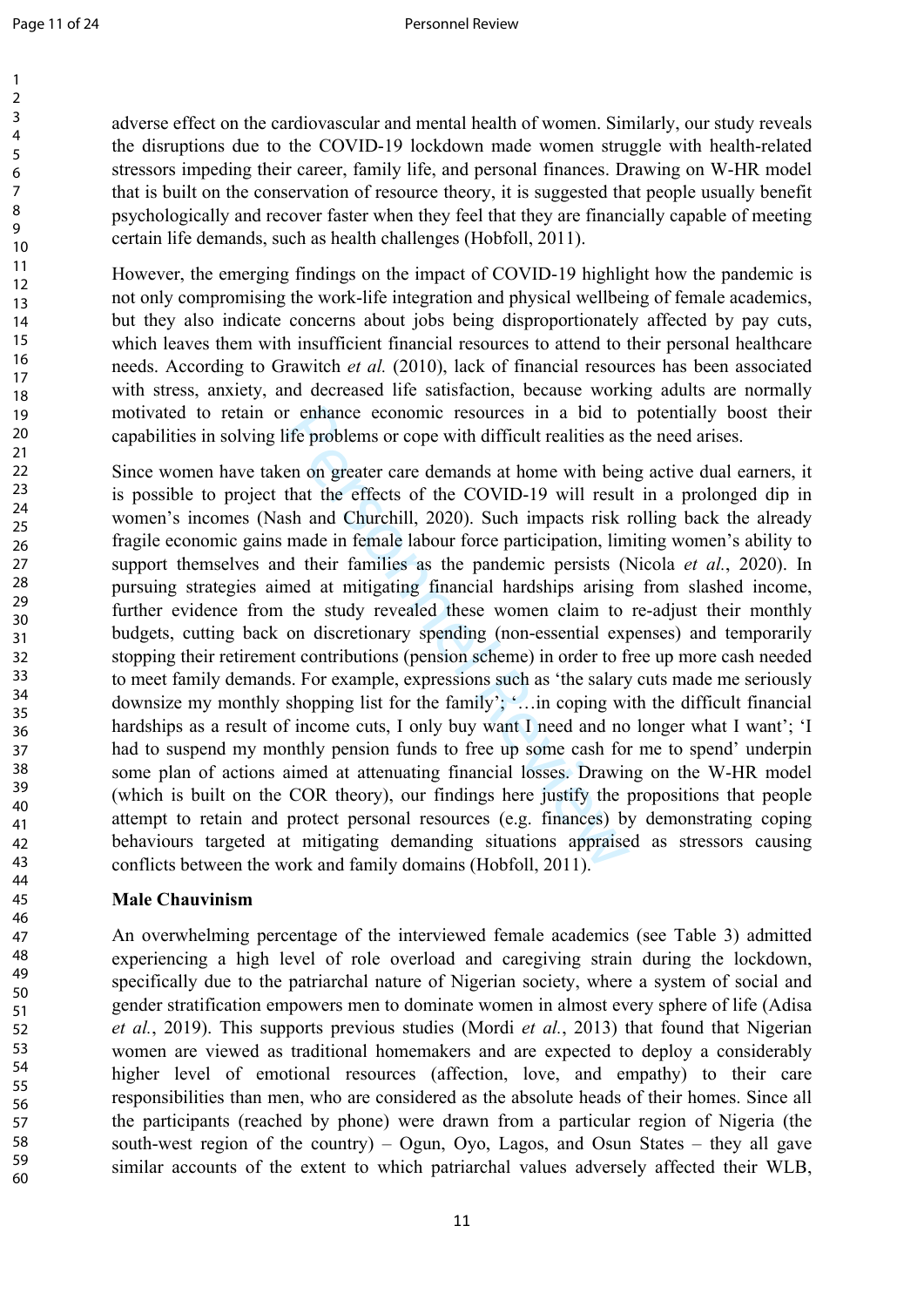$\mathbf{1}$ 

> 58 59 60

adverse effect on the cardiovascular and mental health of women. Similarly, our study reveals the disruptions due to the COVID-19 lockdown made women struggle with health-related stressors impeding their career, family life, and personal finances. Drawing on W-HR model that is built on the conservation of resource theory, it is suggested that people usually benefit psychologically and recover faster when they feel that they are financially capable of meeting certain life demands, such as health challenges (Hobfoll, 2011).

However, the emerging findings on the impact of COVID-19 highlight how the pandemic is not only compromising the work-life integration and physical wellbeing of female academics, but they also indicate concerns about jobs being disproportionately affected by pay cuts, which leaves them with insufficient financial resources to attend to their personal healthcare needs. According to Grawitch *et al.* (2010), lack of financial resources has been associated with stress, anxiety, and decreased life satisfaction, because working adults are normally motivated to retain or enhance economic resources in a bid to potentially boost their capabilities in solving life problems or cope with difficult realities as the need arises.

r enhance economic resources in a bid to<br>ife problems or cope with difficult realities as<br>en on greater care demands at home with beir<br>that the effects of the COVID-19 will resul<br>sh and Churchill, 2020). Such impacts risk Since women have taken on greater care demands at home with being active dual earners, it is possible to project that the effects of the COVID-19 will result in a prolonged dip in women's incomes (Nash and Churchill, 2020). Such impacts risk rolling back the already fragile economic gains made in female labour force participation, limiting women's ability to support themselves and their families as the pandemic persists (Nicola *et al.*, 2020). In pursuing strategies aimed at mitigating financial hardships arising from slashed income, further evidence from the study revealed these women claim to re-adjust their monthly budgets, cutting back on discretionary spending (non-essential expenses) and temporarily stopping their retirement contributions (pension scheme) in order to free up more cash needed to meet family demands. For example, expressions such as 'the salary cuts made me seriously downsize my monthly shopping list for the family'; '…in coping with the difficult financial hardships as a result of income cuts, I only buy want I need and no longer what I want'; 'I had to suspend my monthly pension funds to free up some cash for me to spend' underpin some plan of actions aimed at attenuating financial losses. Drawing on the W-HR model (which is built on the COR theory), our findings here justify the propositions that people attempt to retain and protect personal resources (e.g. finances) by demonstrating coping behaviours targeted at mitigating demanding situations appraised as stressors causing conflicts between the work and family domains (Hobfoll, 2011).

# **Male Chauvinism**

An overwhelming percentage of the interviewed female academics (see Table 3) admitted experiencing a high level of role overload and caregiving strain during the lockdown, specifically due to the patriarchal nature of Nigerian society, where a system of social and gender stratification empowers men to dominate women in almost every sphere of life (Adisa *et al.*, 2019). This supports previous studies (Mordi *et al.*, 2013) that found that Nigerian women are viewed as traditional homemakers and are expected to deploy a considerably higher level of emotional resources (affection, love, and empathy) to their care responsibilities than men, who are considered as the absolute heads of their homes. Since all the participants (reached by phone) were drawn from a particular region of Nigeria (the south-west region of the country) – Ogun, Oyo, Lagos, and Osun States – they all gave similar accounts of the extent to which patriarchal values adversely affected their WLB,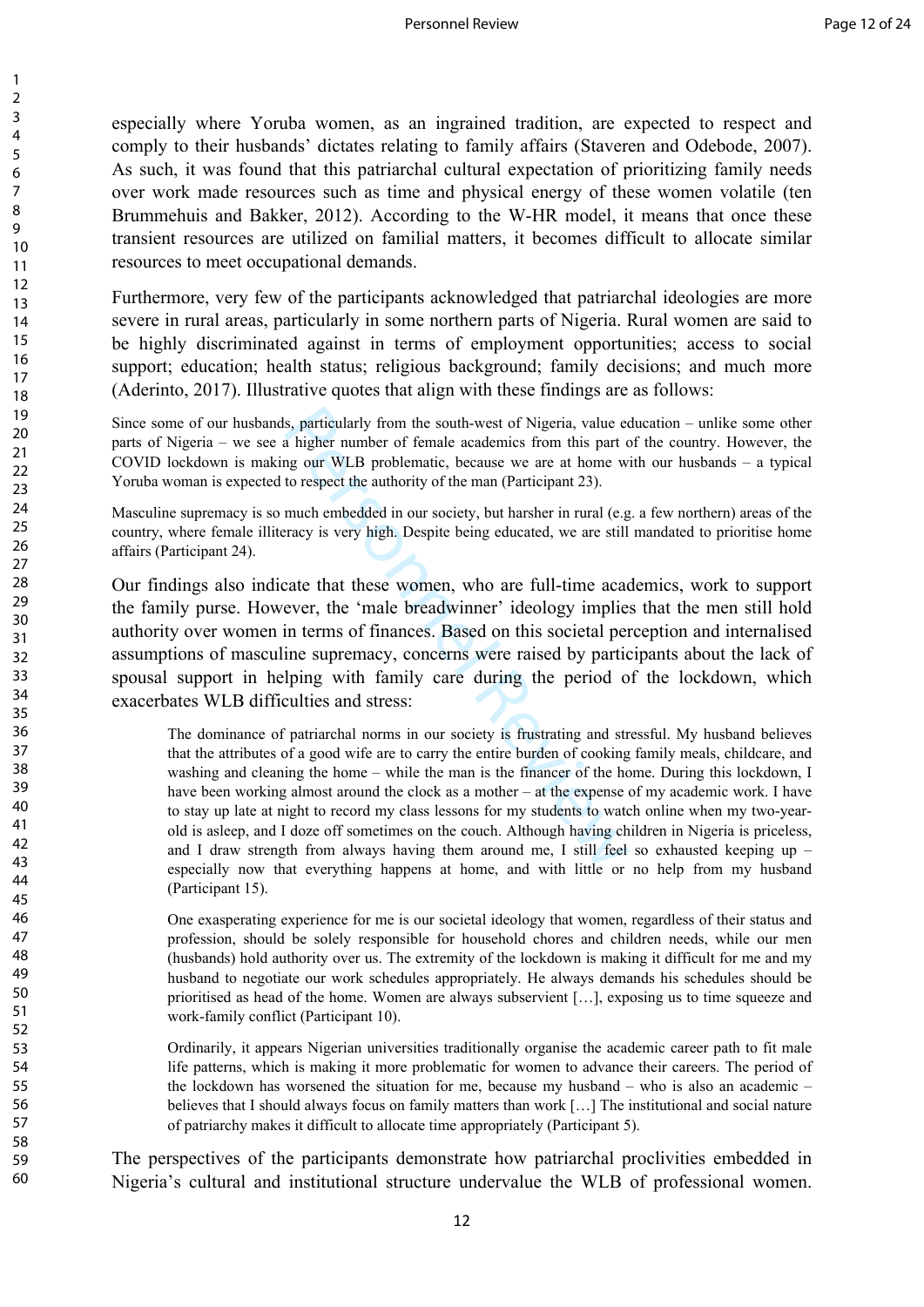especially where Yoruba women, as an ingrained tradition, are expected to respect and comply to their husbands' dictates relating to family affairs (Staveren and Odebode, 2007). As such, it was found that this patriarchal cultural expectation of prioritizing family needs over work made resources such as time and physical energy of these women volatile (ten Brummehuis and Bakker, 2012). According to the W-HR model, it means that once these transient resources are utilized on familial matters, it becomes difficult to allocate similar resources to meet occupational demands.

Furthermore, very few of the participants acknowledged that patriarchal ideologies are more severe in rural areas, particularly in some northern parts of Nigeria. Rural women are said to be highly discriminated against in terms of employment opportunities; access to social support; education; health status; religious background; family decisions; and much more (Aderinto, 2017). Illustrative quotes that align with these findings are as follows:

Since some of our husbands, particularly from the south-west of Nigeria, value education – unlike some other parts of Nigeria – we see a higher number of female academics from this part of the country. However, the COVID lockdown is making our WLB problematic, because we are at home with our husbands – a typical Yoruba woman is expected to respect the authority of the man (Participant 23).

Masculine supremacy is so much embedded in our society, but harsher in rural (e.g. a few northern) areas of the country, where female illiteracy is very high. Despite being educated, we are still mandated to prioritise home affairs (Participant 24).

Our findings also indicate that these women, who are full-time academics, work to support the family purse. However, the 'male breadwinner' ideology implies that the men still hold authority over women in terms of finances. Based on this societal perception and internalised assumptions of masculine supremacy, concerns were raised by participants about the lack of spousal support in helping with family care during the period of the lockdown, which exacerbates WLB difficulties and stress:

s, particularly from the south-west of Nigeria, value ea<br>a higher number of female academics from this part or<br>an early and the man (Participant 23).<br>much embedded in our society, but harsher in rural (e.g<br>racy is very hig The dominance of patriarchal norms in our society is frustrating and stressful. My husband believes that the attributes of a good wife are to carry the entire burden of cooking family meals, childcare, and washing and cleaning the home – while the man is the financer of the home. During this lockdown, I have been working almost around the clock as a mother – at the expense of my academic work. I have to stay up late at night to record my class lessons for my students to watch online when my two-yearold is asleep, and I doze off sometimes on the couch. Although having children in Nigeria is priceless, and I draw strength from always having them around me, I still feel so exhausted keeping up – especially now that everything happens at home, and with little or no help from my husband (Participant 15).

One exasperating experience for me is our societal ideology that women, regardless of their status and profession, should be solely responsible for household chores and children needs, while our men (husbands) hold authority over us. The extremity of the lockdown is making it difficult for me and my husband to negotiate our work schedules appropriately. He always demands his schedules should be prioritised as head of the home. Women are always subservient […], exposing us to time squeeze and work-family conflict (Participant 10).

Ordinarily, it appears Nigerian universities traditionally organise the academic career path to fit male life patterns, which is making it more problematic for women to advance their careers. The period of the lockdown has worsened the situation for me, because my husband – who is also an academic – believes that I should always focus on family matters than work […] The institutional and social nature of patriarchy makes it difficult to allocate time appropriately (Participant 5).

The perspectives of the participants demonstrate how patriarchal proclivities embedded in Nigeria's cultural and institutional structure undervalue the WLB of professional women.

 $\mathbf{1}$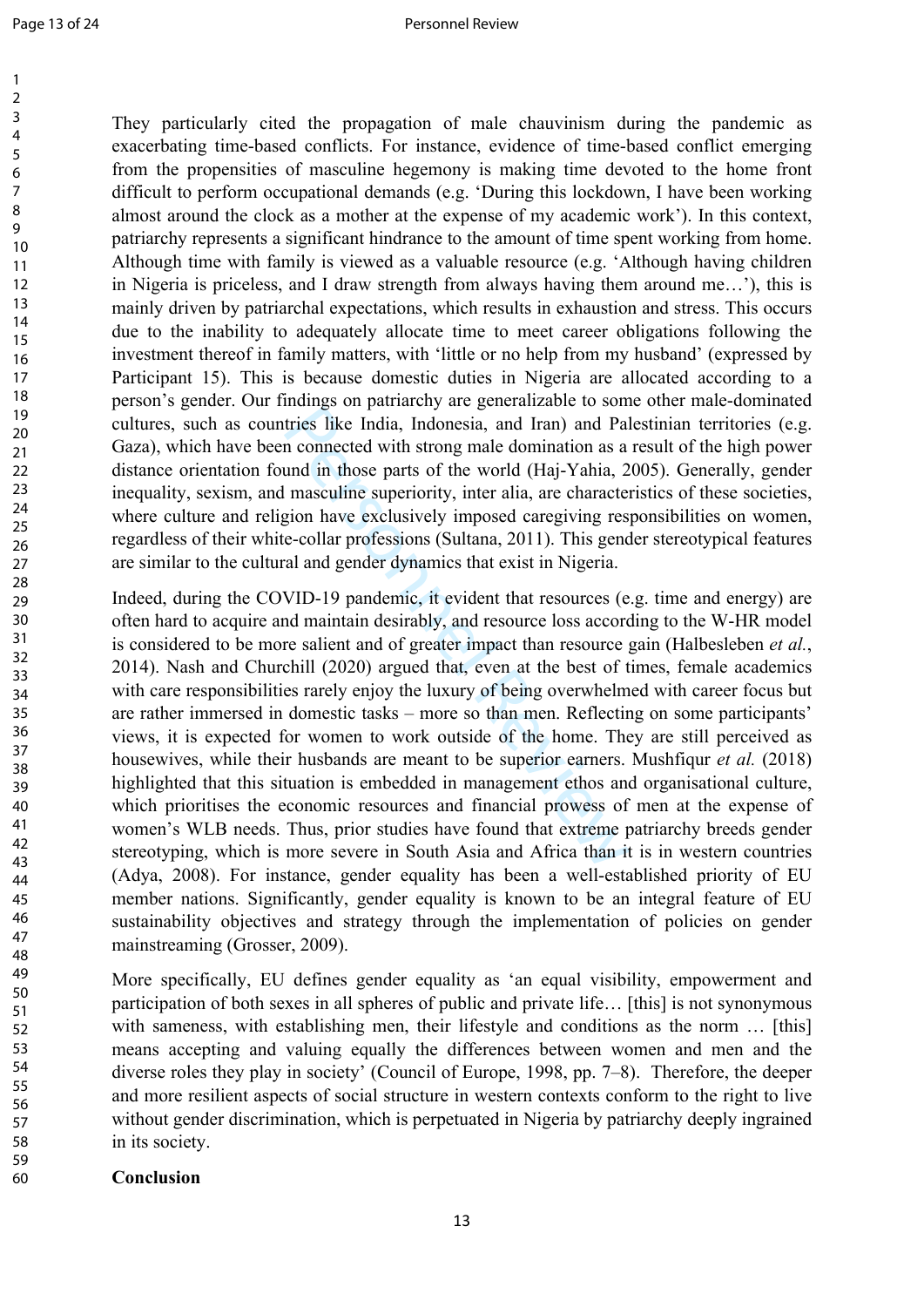$\mathbf{1}$  $\overline{2}$ 

60

They particularly cited the propagation of male chauvinism during the pandemic as exacerbating time-based conflicts. For instance, evidence of time-based conflict emerging from the propensities of masculine hegemony is making time devoted to the home front difficult to perform occupational demands (e.g. 'During this lockdown, I have been working almost around the clock as a mother at the expense of my academic work'). In this context, patriarchy represents a significant hindrance to the amount of time spent working from home. Although time with family is viewed as a valuable resource (e.g. 'Although having children in Nigeria is priceless, and I draw strength from always having them around me…'), this is mainly driven by patriarchal expectations, which results in exhaustion and stress. This occurs due to the inability to adequately allocate time to meet career obligations following the investment thereof in family matters, with 'little or no help from my husband' (expressed by Participant 15). This is because domestic duties in Nigeria are allocated according to a person's gender. Our findings on patriarchy are generalizable to some other male-dominated cultures, such as countries like India, Indonesia, and Iran) and Palestinian territories (e.g. Gaza), which have been connected with strong male domination as a result of the high power distance orientation found in those parts of the world (Haj-Yahia, 2005). Generally, gender inequality, sexism, and masculine superiority, inter alia, are characteristics of these societies, where culture and religion have exclusively imposed caregiving responsibilities on women, regardless of their white-collar professions (Sultana, 2011). This gender stereotypical features are similar to the cultural and gender dynamics that exist in Nigeria.

manigulary and Iran) and Palametics like India, Indonesia, and Iran) and Palametic tries like India, Indonesia, and Iran) and Palametic connected with strong male domination as a und in those parts of the world (Haj-Yahia, Indeed, during the COVID-19 pandemic, it evident that resources (e.g. time and energy) are often hard to acquire and maintain desirably, and resource loss according to the W-HR model is considered to be more salient and of greater impact than resource gain (Halbesleben *et al.*, 2014). Nash and Churchill (2020) argued that, even at the best of times, female academics with care responsibilities rarely enjoy the luxury of being overwhelmed with career focus but are rather immersed in domestic tasks – more so than men. Reflecting on some participants' views, it is expected for women to work outside of the home. They are still perceived as housewives, while their husbands are meant to be superior earners. Mushfiqur *et al.* (2018) highlighted that this situation is embedded in management ethos and organisational culture, which prioritises the economic resources and financial prowess of men at the expense of women's WLB needs. Thus, prior studies have found that extreme patriarchy breeds gender stereotyping, which is more severe in South Asia and Africa than it is in western countries (Adya, 2008). For instance, gender equality has been a well-established priority of EU member nations. Significantly, gender equality is known to be an integral feature of EU sustainability objectives and strategy through the implementation of policies on gender mainstreaming (Grosser, 2009).

More specifically, EU defines gender equality as 'an equal visibility, empowerment and participation of both sexes in all spheres of public and private life… [this] is not synonymous with sameness, with establishing men, their lifestyle and conditions as the norm ... [this] means accepting and valuing equally the differences between women and men and the diverse roles they play in society' (Council of Europe, 1998, pp. 7–8). Therefore, the deeper and more resilient aspects of social structure in western contexts conform to the right to live without gender discrimination, which is perpetuated in Nigeria by patriarchy deeply ingrained in its society.

#### **Conclusion**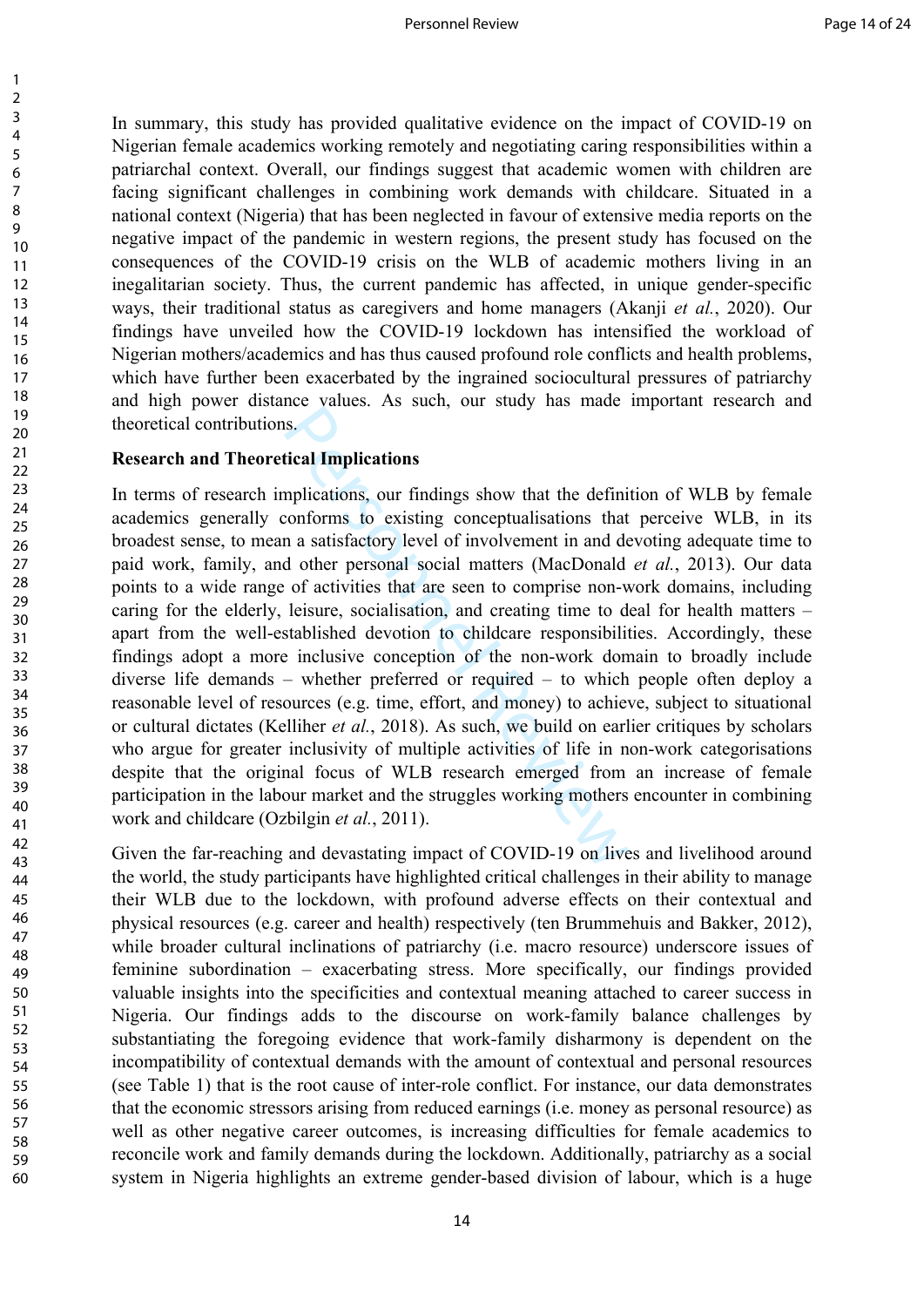In summary, this study has provided qualitative evidence on the impact of COVID-19 on Nigerian female academics working remotely and negotiating caring responsibilities within a patriarchal context. Overall, our findings suggest that academic women with children are facing significant challenges in combining work demands with childcare. Situated in a national context (Nigeria) that has been neglected in favour of extensive media reports on the negative impact of the pandemic in western regions, the present study has focused on the consequences of the COVID-19 crisis on the WLB of academic mothers living in an inegalitarian society. Thus, the current pandemic has affected, in unique gender-specific ways, their traditional status as caregivers and home managers (Akanji *et al.*, 2020). Our findings have unveiled how the COVID-19 lockdown has intensified the workload of Nigerian mothers/academics and has thus caused profound role conflicts and health problems, which have further been exacerbated by the ingrained sociocultural pressures of patriarchy and high power distance values. As such, our study has made important research and theoretical contributions.

#### **Research and Theoretical Implications**

123456789

 $\mathbf{1}$  $\overline{2}$  $\overline{3}$  $\overline{4}$ 5 6  $\overline{7}$ 8 9

Solutions to the state, our findings show that the definition<br>forms to existing conceptualisations that a a satisfactory level of involvement in and ded other personal social matters (MacDonald of activities that are seen In terms of research implications, our findings show that the definition of WLB by female academics generally conforms to existing conceptualisations that perceive WLB, in its broadest sense, to mean a satisfactory level of involvement in and devoting adequate time to paid work, family, and other personal social matters (MacDonald *et al.*, 2013). Our data points to a wide range of activities that are seen to comprise non-work domains, including caring for the elderly, leisure, socialisation, and creating time to deal for health matters – apart from the well-established devotion to childcare responsibilities. Accordingly, these findings adopt a more inclusive conception of the non-work domain to broadly include diverse life demands – whether preferred or required – to which people often deploy a reasonable level of resources (e.g. time, effort, and money) to achieve, subject to situational or cultural dictates (Kelliher *et al.*, 2018). As such, we build on earlier critiques by scholars who argue for greater inclusivity of multiple activities of life in non-work categorisations despite that the original focus of WLB research emerged from an increase of female participation in the labour market and the struggles working mothers encounter in combining work and childcare (Ozbilgin *et al.*, 2011).

Given the far-reaching and devastating impact of COVID-19 on lives and livelihood around the world, the study participants have highlighted critical challenges in their ability to manage their WLB due to the lockdown, with profound adverse effects on their contextual and physical resources (e.g. career and health) respectively (ten Brummehuis and Bakker, 2012), while broader cultural inclinations of patriarchy (i.e. macro resource) underscore issues of feminine subordination – exacerbating stress. More specifically, our findings provided valuable insights into the specificities and contextual meaning attached to career success in Nigeria. Our findings adds to the discourse on work-family balance challenges by substantiating the foregoing evidence that work-family disharmony is dependent on the incompatibility of contextual demands with the amount of contextual and personal resources (see Table 1) that is the root cause of inter-role conflict. For instance, our data demonstrates that the economic stressors arising from reduced earnings (i.e. money as personal resource) as well as other negative career outcomes, is increasing difficulties for female academics to reconcile work and family demands during the lockdown. Additionally, patriarchy as a social system in Nigeria highlights an extreme gender-based division of labour, which is a huge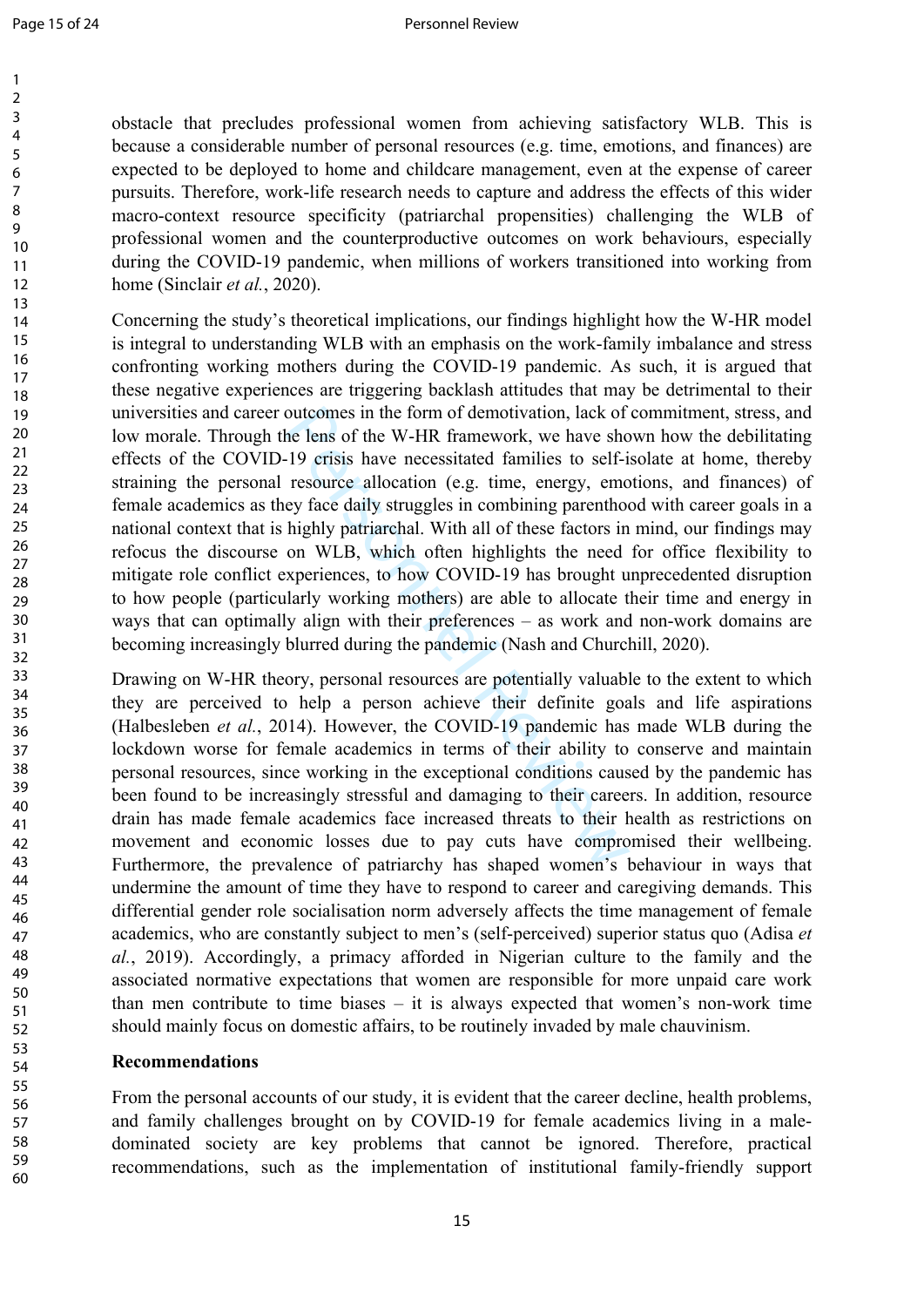> 58 59 60

obstacle that precludes professional women from achieving satisfactory WLB. This is because a considerable number of personal resources (e.g. time, emotions, and finances) are expected to be deployed to home and childcare management, even at the expense of career pursuits. Therefore, work-life research needs to capture and address the effects of this wider macro-context resource specificity (patriarchal propensities) challenging the WLB of professional women and the counterproductive outcomes on work behaviours, especially during the COVID-19 pandemic, when millions of workers transitioned into working from home (Sinclair *et al.*, 2020).

outcomes in the form of demotivation, lack of<br>he lens of the W-HR framework, we have shc<br>-19 crisis have necessitated families to self-i<br>resource allocation (e.g. time, energy, emcey face daily struggles in combining paren Concerning the study's theoretical implications, our findings highlight how the W-HR model is integral to understanding WLB with an emphasis on the work-family imbalance and stress confronting working mothers during the COVID-19 pandemic. As such, it is argued that these negative experiences are triggering backlash attitudes that may be detrimental to their universities and career outcomes in the form of demotivation, lack of commitment, stress, and low morale. Through the lens of the W-HR framework, we have shown how the debilitating effects of the COVID-19 crisis have necessitated families to self-isolate at home, thereby straining the personal resource allocation (e.g. time, energy, emotions, and finances) of female academics as they face daily struggles in combining parenthood with career goals in a national context that is highly patriarchal. With all of these factors in mind, our findings may refocus the discourse on WLB, which often highlights the need for office flexibility to mitigate role conflict experiences, to how COVID-19 has brought unprecedented disruption to how people (particularly working mothers) are able to allocate their time and energy in ways that can optimally align with their preferences – as work and non-work domains are becoming increasingly blurred during the pandemic (Nash and Churchill, 2020).

Drawing on W-HR theory, personal resources are potentially valuable to the extent to which they are perceived to help a person achieve their definite goals and life aspirations (Halbesleben *et al.*, 2014). However, the COVID-19 pandemic has made WLB during the lockdown worse for female academics in terms of their ability to conserve and maintain personal resources, since working in the exceptional conditions caused by the pandemic has been found to be increasingly stressful and damaging to their careers. In addition, resource drain has made female academics face increased threats to their health as restrictions on movement and economic losses due to pay cuts have compromised their wellbeing. Furthermore, the prevalence of patriarchy has shaped women's behaviour in ways that undermine the amount of time they have to respond to career and caregiving demands. This differential gender role socialisation norm adversely affects the time management of female academics, who are constantly subject to men's (self-perceived) superior status quo (Adisa *et al.*, 2019). Accordingly, a primacy afforded in Nigerian culture to the family and the associated normative expectations that women are responsible for more unpaid care work than men contribute to time biases – it is always expected that women's non-work time should mainly focus on domestic affairs, to be routinely invaded by male chauvinism.

## **Recommendations**

From the personal accounts of our study, it is evident that the career decline, health problems, and family challenges brought on by COVID-19 for female academics living in a maledominated society are key problems that cannot be ignored. Therefore, practical recommendations, such as the implementation of institutional family-friendly support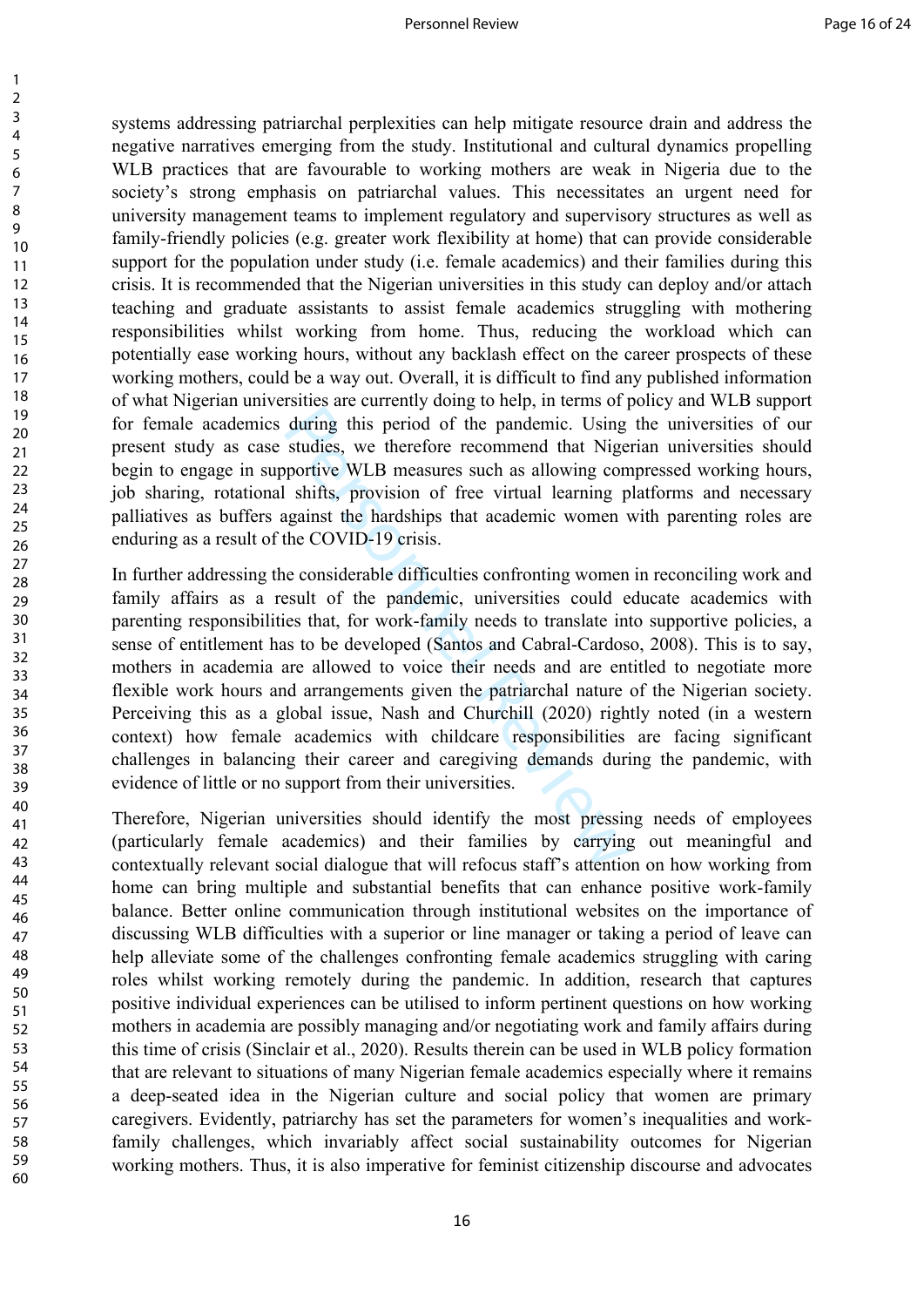systems addressing patriarchal perplexities can help mitigate resource drain and address the negative narratives emerging from the study. Institutional and cultural dynamics propelling WLB practices that are favourable to working mothers are weak in Nigeria due to the society's strong emphasis on patriarchal values. This necessitates an urgent need for university management teams to implement regulatory and supervisory structures as well as family-friendly policies (e.g. greater work flexibility at home) that can provide considerable support for the population under study (i.e. female academics) and their families during this crisis. It is recommended that the Nigerian universities in this study can deploy and/or attach teaching and graduate assistants to assist female academics struggling with mothering responsibilities whilst working from home. Thus, reducing the workload which can potentially ease working hours, without any backlash effect on the career prospects of these working mothers, could be a way out. Overall, it is difficult to find any published information of what Nigerian universities are currently doing to help, in terms of policy and WLB support for female academics during this period of the pandemic. Using the universities of our present study as case studies, we therefore recommend that Nigerian universities should begin to engage in supportive WLB measures such as allowing compressed working hours, job sharing, rotational shifts, provision of free virtual learning platforms and necessary palliatives as buffers against the hardships that academic women with parenting roles are enduring as a result of the COVID-19 crisis.

during this period of the pandemic. Using<br>during this period of the pandemic. Using<br>studies, we therefore recommend that Nige<br>portive WLB measures such as allowing con<br>lshifts, provision of free virtual learning p<br>gainst t In further addressing the considerable difficulties confronting women in reconciling work and family affairs as a result of the pandemic, universities could educate academics with parenting responsibilities that, for work-family needs to translate into supportive policies, a sense of entitlement has to be developed (Santos and Cabral-Cardoso, 2008). This is to say, mothers in academia are allowed to voice their needs and are entitled to negotiate more flexible work hours and arrangements given the patriarchal nature of the Nigerian society. Perceiving this as a global issue, Nash and Churchill (2020) rightly noted (in a western context) how female academics with childcare responsibilities are facing significant challenges in balancing their career and caregiving demands during the pandemic, with evidence of little or no support from their universities.

Therefore, Nigerian universities should identify the most pressing needs of employees (particularly female academics) and their families by carrying out meaningful and contextually relevant social dialogue that will refocus staff's attention on how working from home can bring multiple and substantial benefits that can enhance positive work-family balance. Better online communication through institutional websites on the importance of discussing WLB difficulties with a superior or line manager or taking a period of leave can help alleviate some of the challenges confronting female academics struggling with caring roles whilst working remotely during the pandemic. In addition, research that captures positive individual experiences can be utilised to inform pertinent questions on how working mothers in academia are possibly managing and/or negotiating work and family affairs during this time of crisis (Sinclair et al., 2020). Results therein can be used in WLB policy formation that are relevant to situations of many Nigerian female academics especially where it remains a deep-seated idea in the Nigerian culture and social policy that women are primary caregivers. Evidently, patriarchy has set the parameters for women's inequalities and workfamily challenges, which invariably affect social sustainability outcomes for Nigerian working mothers. Thus, it is also imperative for feminist citizenship discourse and advocates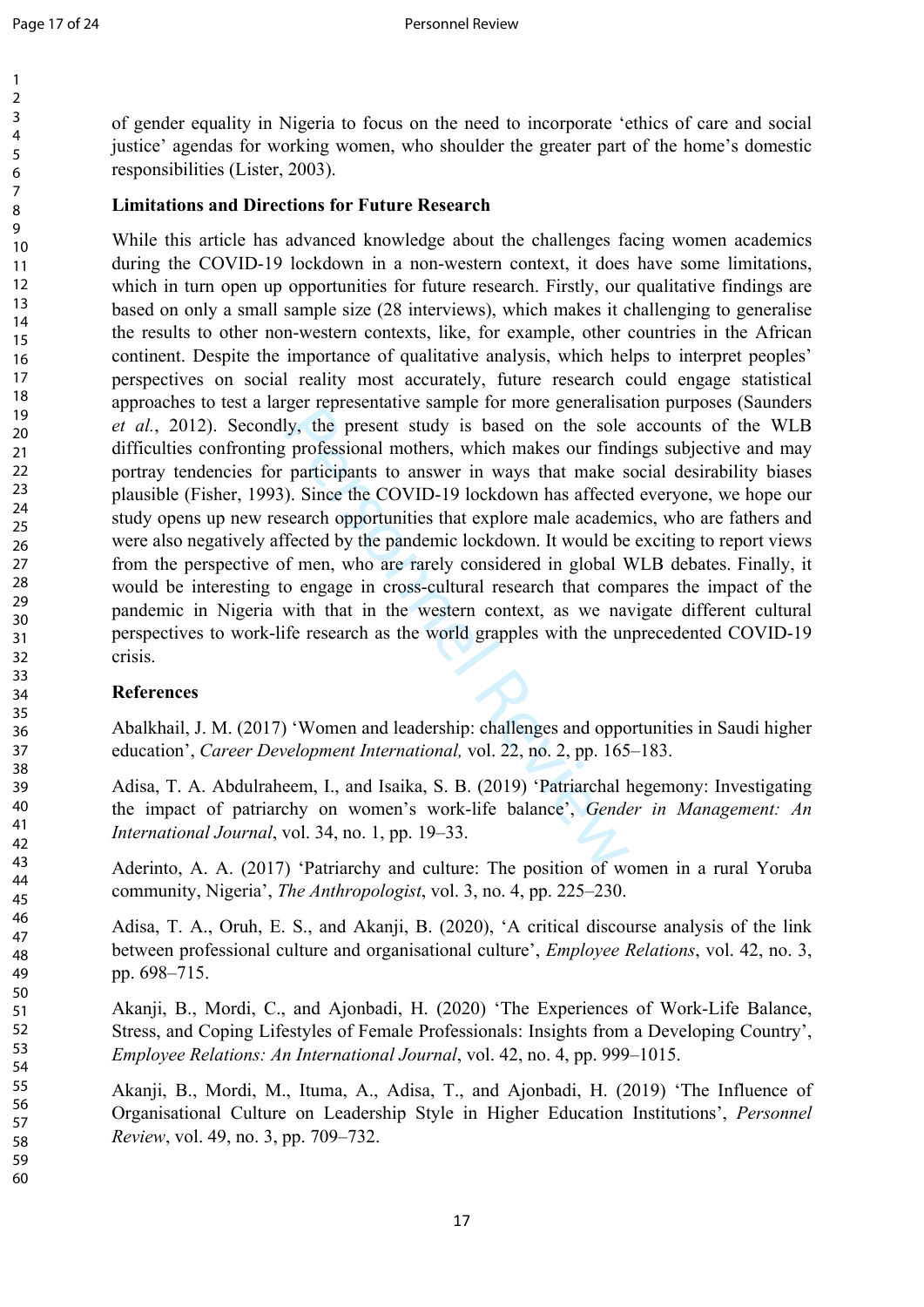$\mathbf{1}$  $\overline{2}$  $\overline{3}$  $\overline{4}$ 5 6  $\overline{7}$ 8 9

10 11 12 of gender equality in Nigeria to focus on the need to incorporate 'ethics of care and social justice' agendas for working women, who shoulder the greater part of the home's domestic responsibilities (Lister, 2003).

## **Limitations and Directions for Future Research**

by, the presentative sample for more generalistically, the present study is based on the sole professional mothers, which makes our findiparticipants to answer in ways that make s  $\geq$ . Since the COVID-19 lockdown has af While this article has advanced knowledge about the challenges facing women academics during the COVID-19 lockdown in a non-western context, it does have some limitations, which in turn open up opportunities for future research. Firstly, our qualitative findings are based on only a small sample size (28 interviews), which makes it challenging to generalise the results to other non-western contexts, like, for example, other countries in the African continent. Despite the importance of qualitative analysis, which helps to interpret peoples' perspectives on social reality most accurately, future research could engage statistical approaches to test a larger representative sample for more generalisation purposes (Saunders *et al.*, 2012). Secondly, the present study is based on the sole accounts of the WLB difficulties confronting professional mothers, which makes our findings subjective and may portray tendencies for participants to answer in ways that make social desirability biases plausible (Fisher, 1993). Since the COVID-19 lockdown has affected everyone, we hope our study opens up new research opportunities that explore male academics, who are fathers and were also negatively affected by the pandemic lockdown. It would be exciting to report views from the perspective of men, who are rarely considered in global WLB debates. Finally, it would be interesting to engage in cross-cultural research that compares the impact of the pandemic in Nigeria with that in the western context, as we navigate different cultural perspectives to work-life research as the world grapples with the unprecedented COVID-19 crisis.

# **References**

Abalkhail, J. M. (2017) 'Women and leadership: challenges and opportunities in Saudi higher education', *Career Development International,* vol. 22, no. 2, pp. 165–183.

Adisa, T. A. Abdulraheem, I., and Isaika, S. B. (2019) 'Patriarchal hegemony: Investigating the impact of patriarchy on women's work-life balance', *Gender in Management: An International Journal*, vol. 34, no. 1, pp. 19–33.

Aderinto, A. A. (2017) 'Patriarchy and culture: The position of women in a rural Yoruba community, Nigeria', *The Anthropologist*, vol. 3, no. 4, pp. 225–230.

Adisa, T. A., Oruh, E. S., and Akanji, B. (2020), 'A critical discourse analysis of the link between professional culture and organisational culture', *Employee Relations*, vol. 42, no. 3, pp. 698–715.

Akanji, B., Mordi, C., and Ajonbadi, H. (2020) 'The Experiences of Work-Life Balance, Stress, and Coping Lifestyles of Female Professionals: Insights from a Developing Country', *Employee Relations: An International Journal*, vol. 42, no. 4, pp. 999–1015.

Akanji, B., Mordi, M., Ituma, A., Adisa, T., and Ajonbadi, H. (2019) 'The Influence of Organisational Culture on Leadership Style in Higher Education Institutions', *Personnel Review*, vol. 49, no. 3, pp. 709–732.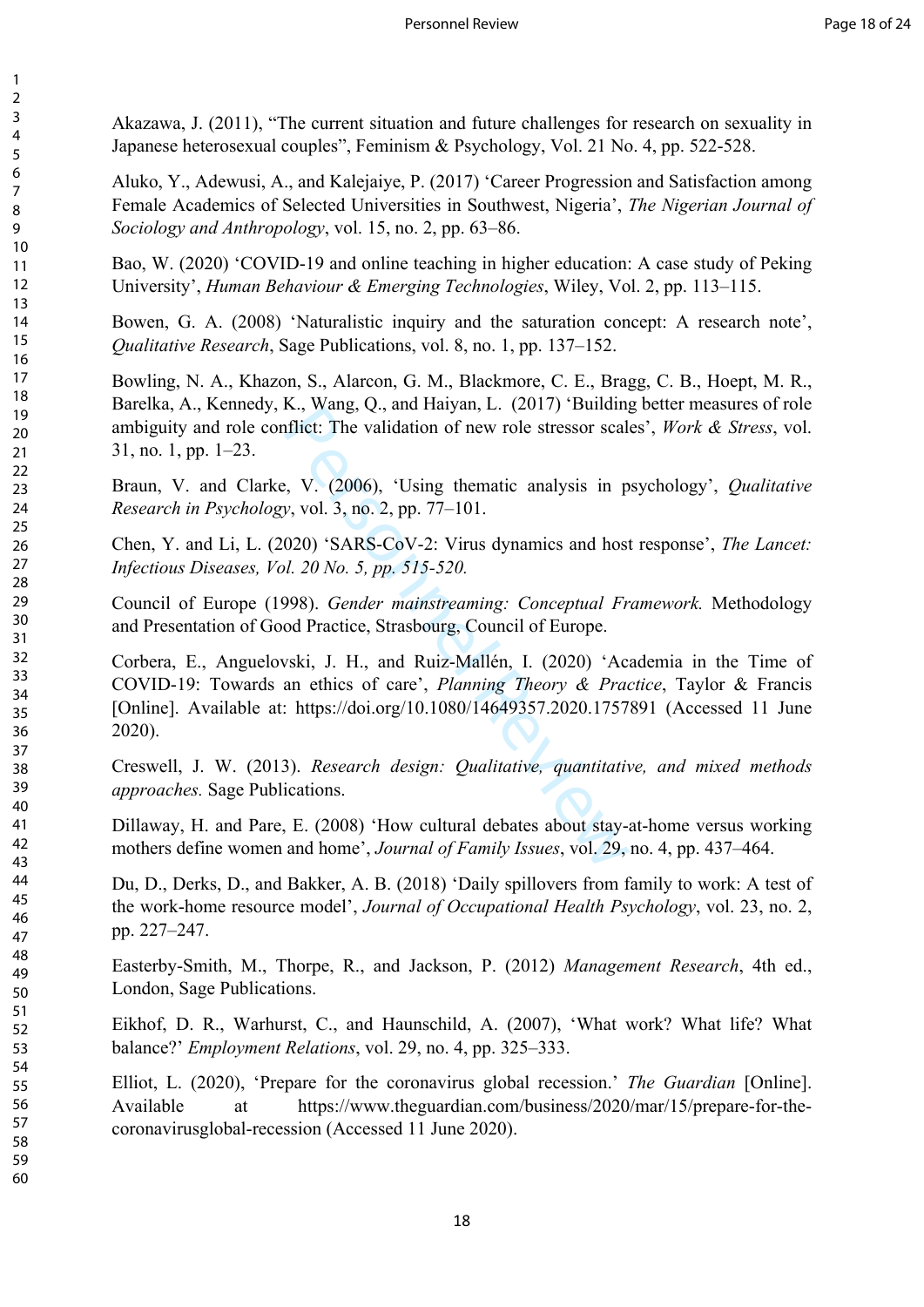Akazawa, J. (2011), "The current situation and future challenges for research on sexuality in Japanese heterosexual couples", Feminism & Psychology, Vol. 21 No. 4, pp. 522-528.

Aluko, Y., Adewusi, A., and Kalejaiye, P. (2017) 'Career Progression and Satisfaction among Female Academics of Selected Universities in Southwest, Nigeria', *The Nigerian Journal of Sociology and Anthropology*, vol. 15, no. 2, pp. 63–86.

Bao, W. (2020) 'COVID-19 and online teaching in higher education: A case study of Peking University', *Human Behaviour & Emerging Technologies*, Wiley, Vol. 2, pp. 113–115.

Bowen, G. A. (2008) 'Naturalistic inquiry and the saturation concept: A research note', *Qualitative Research*, Sage Publications, vol. 8, no. 1, pp. 137–152.

Bowling, N. A., Khazon, S., Alarcon, G. M., Blackmore, C. E., Bragg, C. B., Hoept, M. R., Barelka, A., Kennedy, K., Wang, Q., and Haiyan, L. (2017) 'Building better measures of role ambiguity and role conflict: The validation of new role stressor scales', *Work & Stress*, vol. 31, no. 1, pp. 1–23.

Braun, V. and Clarke, V. (2006), 'Using thematic analysis in psychology', *Qualitative Research in Psychology*, vol. 3, no. 2, pp. 77–101.

Chen, Y. and Li, L. (2020) 'SARS-CoV-2: Virus dynamics and host response', *The Lancet: Infectious Diseases, Vol. 20 No. 5, pp. 515-520.*

Council of Europe (1998). *Gender mainstreaming: Conceptual Framework.* Methodology and Presentation of Good Practice, Strasbourg, Council of Europe.

E., wang, Q., and Haryan, L. (2017) Bunding<br>filict: The validation of new role stressor scall<br>filict: The validation of new role stressor scall<br>py, vol. 3, no. 2, pp. 77–101.<br>020) 'SARS-CoV-2: Virus dynamics and host<br>*d.* Corbera, E., Anguelovski, J. H., and Ruiz-Mallén, I. (2020) 'Academia in the Time of COVID-19: Towards an ethics of care', *Planning Theory & Practice*, Taylor & Francis [Online]. Available at: https://doi.org/10.1080/14649357.2020.1757891 (Accessed 11 June 2020).

Creswell, J. W. (2013). *Research design: Qualitative, quantitative, and mixed methods approaches.* Sage Publications.

Dillaway, H. and Pare, E. (2008) 'How cultural debates about stay-at-home versus working mothers define women and home', *Journal of Family Issues*, vol. 29, no. 4, pp. 437–464.

Du, D., Derks, D., and Bakker, A. B. (2018) 'Daily spillovers from family to work: A test of the work-home resource model', *Journal of Occupational Health Psychology*, vol. 23, no. 2, pp. 227–247.

Easterby-Smith, M., Thorpe, R., and Jackson, P. (2012) *Management Research*, 4th ed., London, Sage Publications.

Eikhof, D. R., Warhurst, C., and Haunschild, A. (2007), 'What work? What life? What balance?' *Employment Relations*, vol. 29, no. 4, pp. 325–333.

Elliot, L. (2020), 'Prepare for the coronavirus global recession.' *The Guardian* [Online]. Available at [https://www.theguardian.com/business/2020/mar/15/prepare-for-the](https://www.theguardian.com/business/2020/mar/15/prepare-for-the-coronavirusglobal-recession)[coronavirusglobal-recession](https://www.theguardian.com/business/2020/mar/15/prepare-for-the-coronavirusglobal-recession) (Accessed 11 June 2020).

 $\mathbf{1}$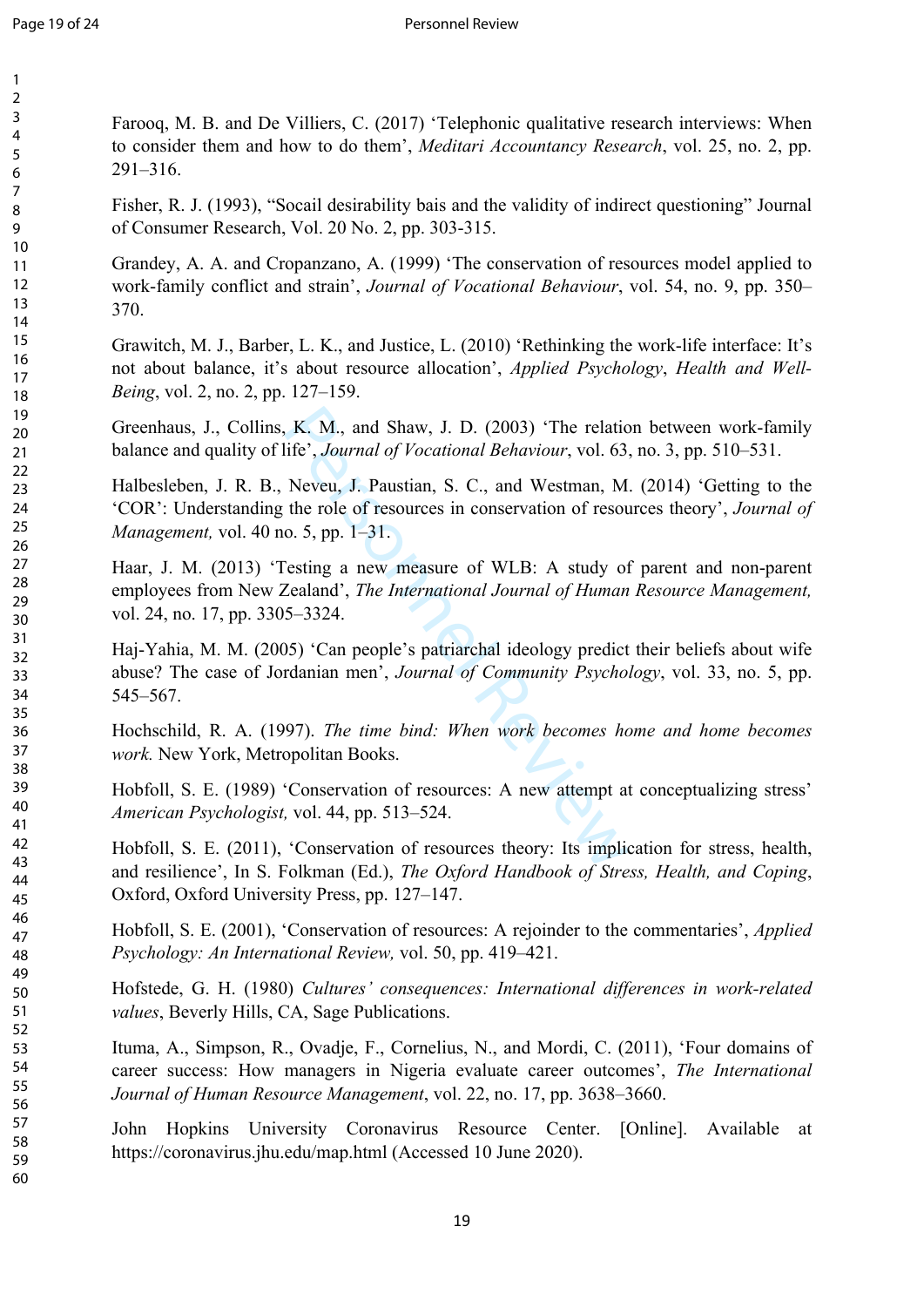60

Farooq, M. B. and De Villiers, C. (2017) 'Telephonic qualitative research interviews: When to consider them and how to do them', *Meditari Accountancy Research*, vol. 25, no. 2, pp. 291–316.

Fisher, R. J. (1993), "Socail desirability bais and the validity of indirect questioning" Journal of Consumer Research, Vol. 20 No. 2, pp. 303-315.

Grandey, A. A. and Cropanzano, A. (1999) 'The conservation of resources model applied to work-family conflict and strain', *Journal of Vocational Behaviour*, vol. 54, no. 9, pp. 350– 370.

Grawitch, M. J., Barber, L. K., and Justice, L. (2010) 'Rethinking the work-life interface: It's not about balance, it's about resource allocation', *Applied Psychology*, *Health and Well-Being*, vol. 2, no. 2, pp. 127–159.

Greenhaus, J., Collins, K. M., and Shaw, J. D. (2003) 'The relation between work-family balance and quality of life', *Journal of Vocational Behaviour*, vol. 63, no. 3, pp. 510–531.

K. M., and Shaw, J. D. (2003) 'The relationalistic', Journal of Vocational Behaviour, vol. 63,<br>
Neveu, J. Paustian, S. C., and Westman, M<br>
the role of resources in conservation of resources<br>
0. 5, pp. 1–31.<br>
Testing a new Halbesleben, J. R. B., Neveu, J. Paustian, S. C., and Westman, M. (2014) 'Getting to the 'COR': Understanding the role of resources in conservation of resources theory', *Journal of Management,* vol. 40 no. 5, pp. 1–31.

Haar, J. M. (2013) 'Testing a new measure of WLB: A study of parent and non-parent employees from New Zealand', *The International Journal of Human Resource Management,*  vol. 24, no. 17, pp. 3305–3324.

Haj-Yahia, M. M. (2005) 'Can people's patriarchal ideology predict their beliefs about wife abuse? The case of Jordanian men', *Journal of Community Psychology*, vol. 33, no. 5, pp. 545–567.

Hochschild, R. A. (1997). *The time bind: When work becomes home and home becomes work.* New York, Metropolitan Books.

Hobfoll, S. E. (1989) 'Conservation of resources: A new attempt at conceptualizing stress' *American Psychologist,* vol. 44, pp. 513–524.

Hobfoll, S. E. (2011), 'Conservation of resources theory: Its implication for stress, health, and resilience', In S. Folkman (Ed.), *The Oxford Handbook of Stress, Health, and Coping*, Oxford, Oxford University Press, pp. 127–147.

Hobfoll, S. E. (2001), 'Conservation of resources: A rejoinder to the commentaries', *Applied Psychology: An International Review,* vol. 50, pp. 419–421.

Hofstede, G. H. (1980) *Cultures' consequences: International differences in work-related values*, Beverly Hills, CA, Sage Publications.

Ituma, A., Simpson, R., Ovadje, F., Cornelius, N., and Mordi, C. (2011), 'Four domains of career success: How managers in Nigeria evaluate career outcomes', *The International Journal of Human Resource Management*, vol. 22, no. 17, pp. 3638–3660.

John Hopkins University Coronavirus Resource Center. [Online]. Available at https://coronavirus.jhu.edu/map.html (Accessed 10 June 2020).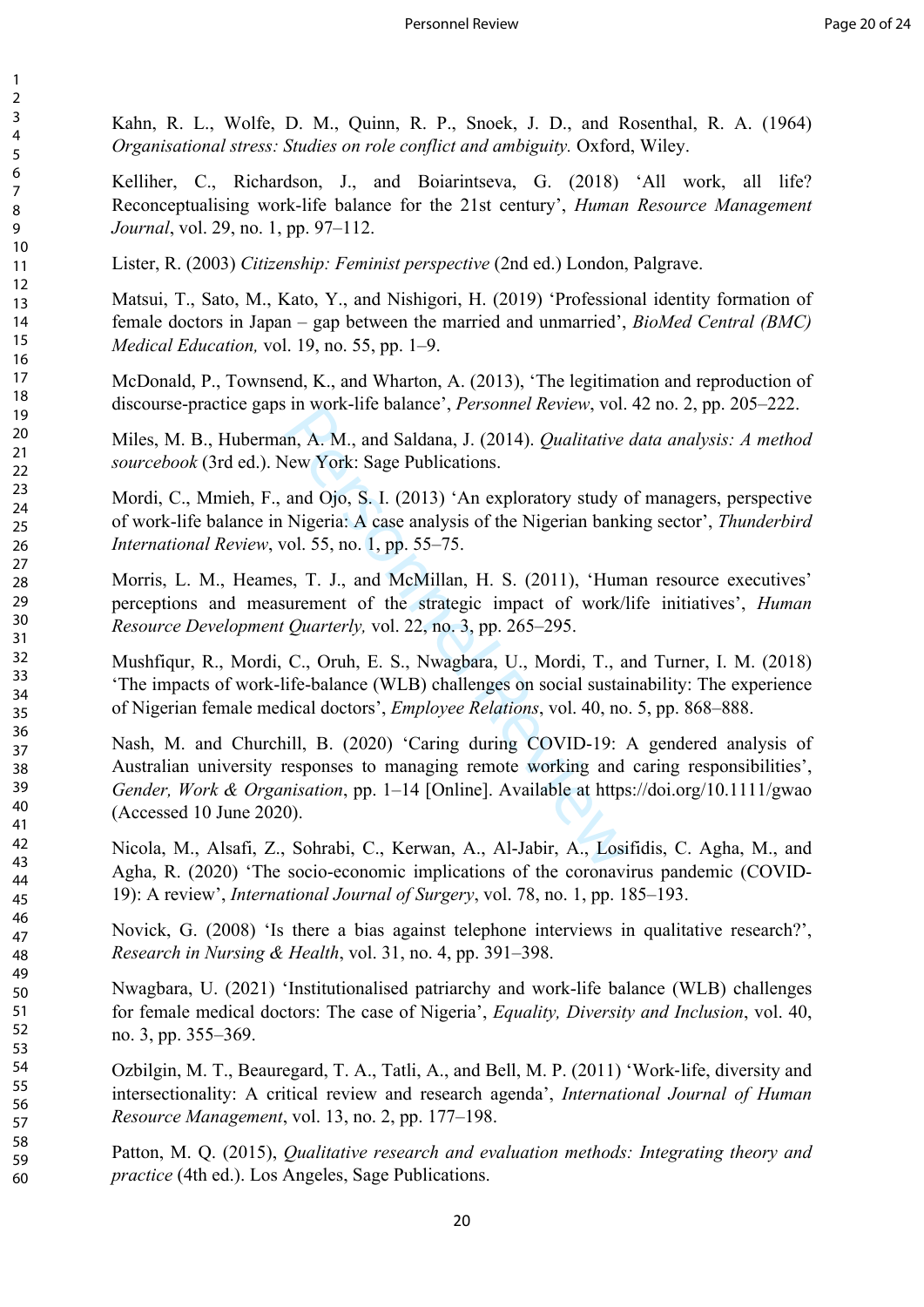Kahn, R. L., Wolfe, D. M., Quinn, R. P., Snoek, J. D., and Rosenthal, R. A. (1964) *Organisational stress: Studies on role conflict and ambiguity.* Oxford, Wiley.

Kelliher, C., Richardson, J., and Boiarintseva, G. (2018) 'All work, all life? Reconceptualising work-life balance for the 21st century', *Human Resource Management Journal*, vol. 29, no. 1, pp. 97–112.

Lister, R. (2003) *Citizenship: Feminist perspective* (2nd ed.) London, Palgrave.

123456789

 $\mathbf{1}$  $\overline{2}$  $\overline{3}$  $\overline{4}$ 5 6  $\overline{7}$ 8 9

Matsui, T., Sato, M., Kato, Y., and Nishigori, H. (2019) 'Professional identity formation of female doctors in Japan – gap between the married and unmarried', *BioMed Central (BMC) Medical Education,* vol. 19, no. 55, pp. 1–9.

McDonald, P., Townsend, K., and Wharton, A. (2013), 'The legitimation and reproduction of discourse-practice gaps in work-life balance', *Personnel Review*, vol. 42 no. 2, pp. 205–222.

Miles, M. B., Huberman, A. M., and Saldana, J. (2014). *Qualitative data analysis: A method sourcebook* (3rd ed.). New York: Sage Publications.

Mordi, C., Mmieh, F., and Ojo, S. I. (2013) 'An exploratory study of managers, perspective of work-life balance in Nigeria: A case analysis of the Nigerian banking sector', *Thunderbird International Review*, vol. 55, no. 1, pp. 55–75.

Morris, L. M., Heames, T. J., and McMillan, H. S. (2011), 'Human resource executives' perceptions and measurement of the strategic impact of work/life initiatives', *Human Resource Development Quarterly,* vol. 22, no. 3, pp. 265–295.

Mushfiqur, R., Mordi, C., Oruh, E. S., Nwagbara, U., Mordi, T., and Turner, I. M. (2018) 'The impacts of work-life-balance (WLB) challenges on social sustainability: The experience of Nigerian female medical doctors', *Employee Relations*, vol. 40, no. 5, pp. 868–888.

In work-inc balance, *Tersonner Review*, vol.<br>
un, A. M., and Saldana, J. (2014). *Qualitative*<br>
lew York: Sage Publications.<br>
and Ojo, S. I. (2013) 'An exploratory study c<br>
Nigeria: A case analysis of the Nigerian bank<br> Nash, M. and Churchill, B. (2020) 'Caring during COVID-19: A gendered analysis of Australian university responses to managing remote working and caring responsibilities', *Gender, Work & Organisation*, pp. 1–14 [Online]. Available at <https://doi.org/10.1111/gwao> (Accessed 10 June 2020).

Nicola, M., Alsafi, Z., Sohrabi, C., Kerwan, A., Al-Jabir, A., Losifidis, C. Agha, M., and Agha, R. (2020) 'The socio-economic implications of the coronavirus pandemic (COVID-19): A review', *International Journal of Surgery*, vol. 78, no. 1, pp. 185–193.

Novick, G. (2008) 'Is there a bias against telephone interviews in qualitative research?', *Research in Nursing & Health*, vol. 31, no. 4, pp. 391–398.

Nwagbara, U. (2021) 'Institutionalised patriarchy and work-life balance (WLB) challenges for female medical doctors: The case of Nigeria', *Equality, Diversity and Inclusion*, vol. 40, no. 3, pp. 355–369.

Ozbilgin, M. T., Beauregard, T. A., Tatli, A., and Bell, M. P. (2011) 'Work ‐life, diversity and intersectionality: A critical review and research agenda', *International Journal of Human Resource Management*, vol. 13, no. 2, pp. 177–198.

Patton, M. Q. (2015), *Qualitative research and evaluation methods: Integrating theory and practice* (4th ed.). Los Angeles, Sage Publications.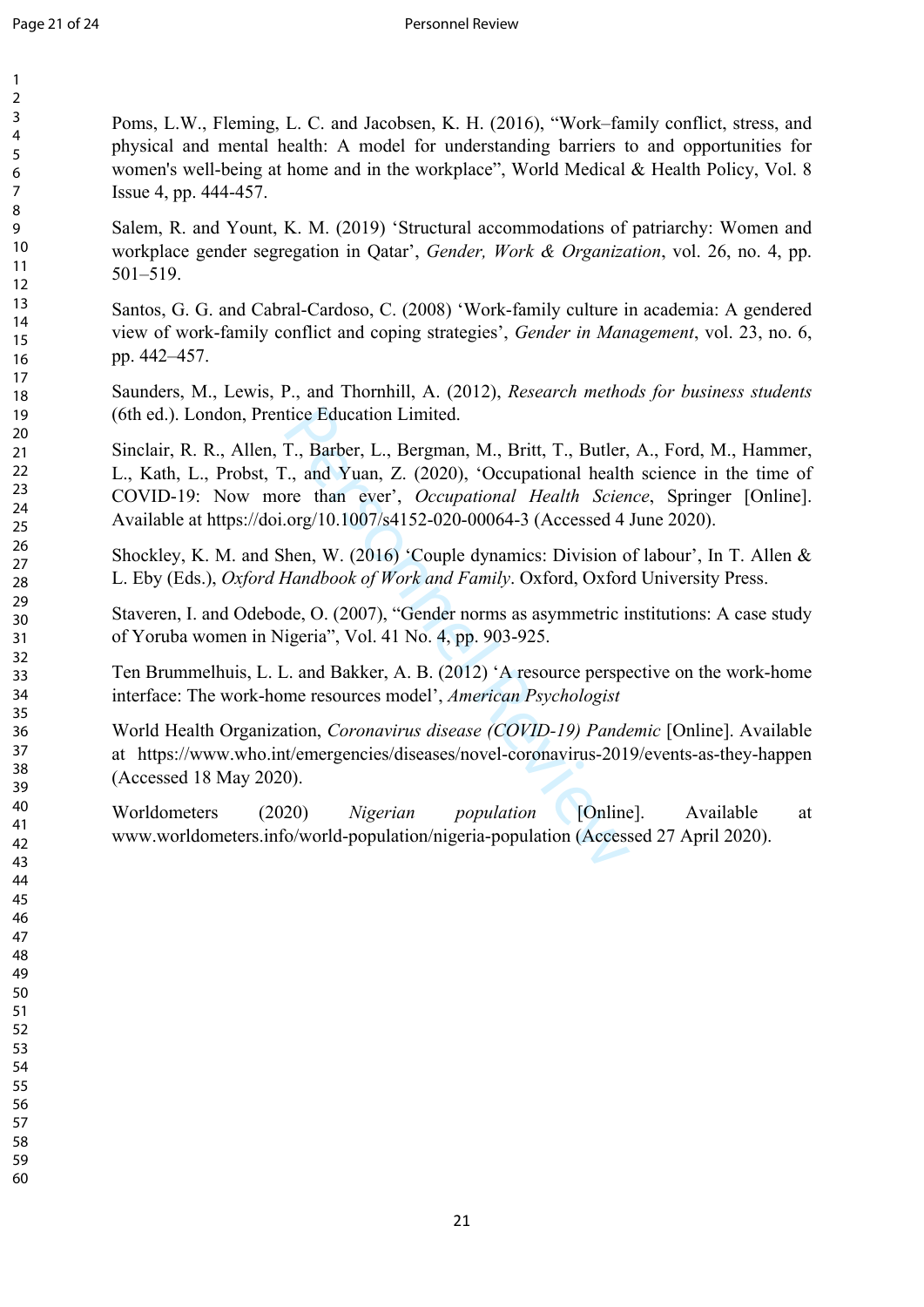Poms, L.W., Fleming, L. C. and Jacobsen, K. H. (2016), "Work–family conflict, stress, and physical and mental health: A model for understanding barriers to and opportunities for women's well-being at home and in the workplace", World Medical & Health Policy, Vol. 8 Issue 4, pp. 444-457.

Salem, R. and Yount, K. M. (2019) 'Structural accommodations of patriarchy: Women and workplace gender segregation in Qatar', *Gender, Work & Organization*, vol. 26, no. 4, pp. 501–519.

Santos, G. G. and Cabral-Cardoso, C. (2008) 'Work-family culture in academia: A gendered view of work-family conflict and coping strategies', *Gender in Management*, vol. 23, no. 6, pp. 442–457.

Saunders, M., Lewis, P., and Thornhill, A. (2012), *Research methods for business students* (6th ed.). London, Prentice Education Limited.

tice Education Limited.<br>
T., Barber, L., Bergman, M., Britt, T., Butler, T., and Yuan, Z. (2020), 'Occupational health<br>
Free than ever', *Occupational Health Sciencorg/10.1007/s4152-020-00064-3* (Accessed 4<br>
hen, W. (2016) Sinclair, R. R., Allen, T., Barber, L., Bergman, M., Britt, T., Butler, A., Ford, M., Hammer, L., Kath, L., Probst, T., and Yuan, Z. (2020), 'Occupational health science in the time of COVID-19: Now more than ever', *Occupational Health Science*, Springer [Online]. Available at<https://doi.org/10.1007/s4152-020-00064-3> (Accessed 4 June 2020).

Shockley, K. M. and Shen, W. (2016) 'Couple dynamics: Division of labour', In T. Allen & L. Eby (Eds.), *Oxford Handbook of Work and Family*. Oxford, Oxford University Press.

Staveren, I. and Odebode, O. (2007), "Gender norms as asymmetric institutions: A case study of Yoruba women in Nigeria", Vol. 41 No. 4, pp. 903-925.

Ten Brummelhuis, L. L. and Bakker, A. B. (2012) 'A resource perspective on the work-home interface: The work-home resources model', *American Psychologist*

World Health Organization, *Coronavirus disease (COVID-19) Pandemic* [Online]. Available at https://www.who.int/emergencies/diseases/novel-coronavirus-2019/events-as-they-happen (Accessed 18 May 2020).

Worldometers (2020) *Nigerian population* [Online]. Available at www.worldometers.info/world-population/nigeria-population (Accessed 27 April 2020).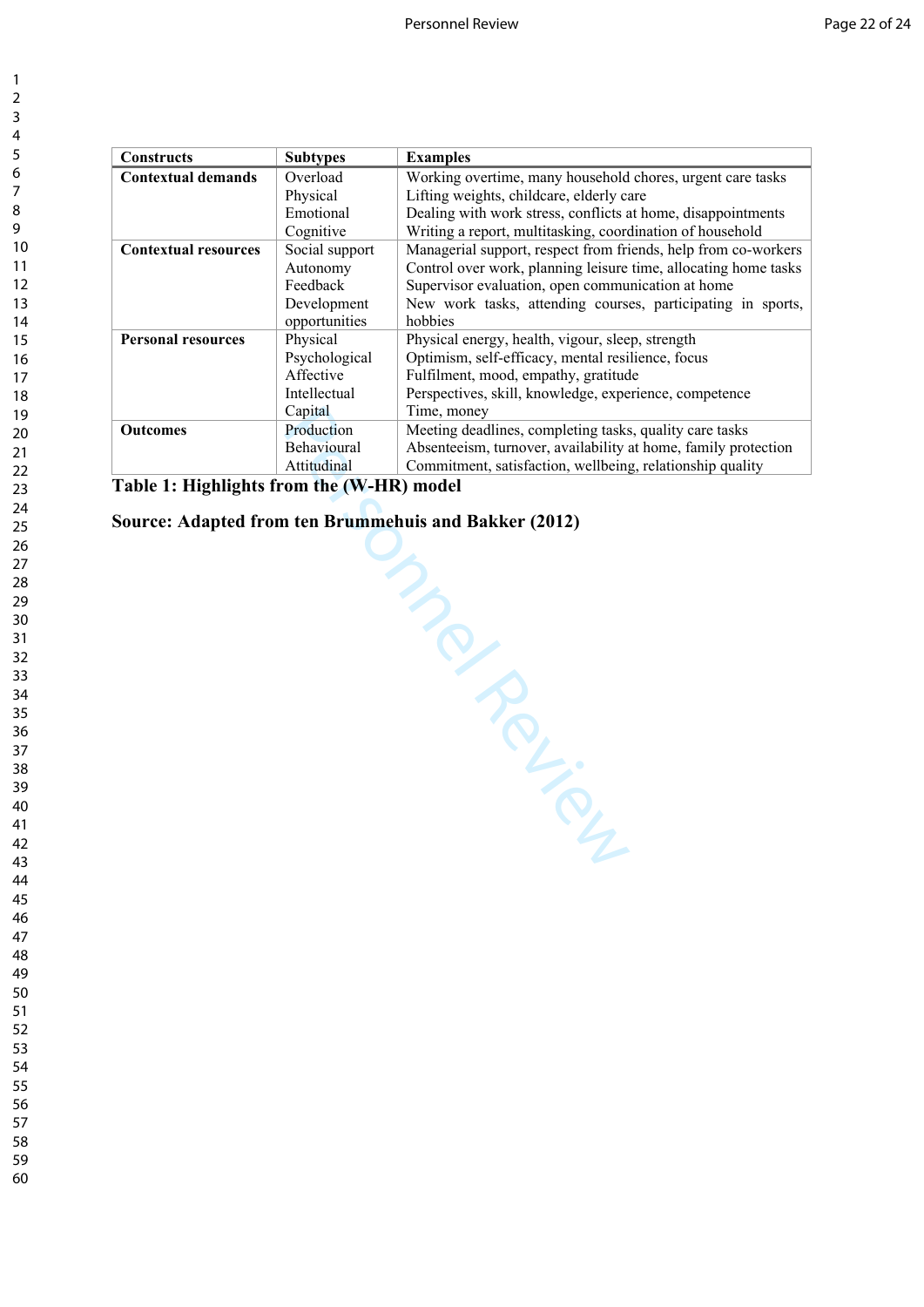| <b>Constructs</b>           | <b>Subtypes</b>    | <b>Examples</b>                                                 |
|-----------------------------|--------------------|-----------------------------------------------------------------|
| <b>Contextual demands</b>   | Overload           | Working overtime, many household chores, urgent care tasks      |
|                             | Physical           | Lifting weights, childcare, elderly care                        |
|                             | Emotional          | Dealing with work stress, conflicts at home, disappointments    |
|                             | Cognitive          | Writing a report, multitasking, coordination of household       |
| <b>Contextual resources</b> | Social support     | Managerial support, respect from friends, help from co-workers  |
|                             | Autonomy           | Control over work, planning leisure time, allocating home tasks |
|                             | Feedback           | Supervisor evaluation, open communication at home               |
|                             | Development        | New work tasks, attending courses, participating in sports,     |
|                             | opportunities      | hobbies                                                         |
| <b>Personal resources</b>   | Physical           | Physical energy, health, vigour, sleep, strength                |
|                             | Psychological      | Optimism, self-efficacy, mental resilience, focus               |
|                             | Affective          | Fulfilment, mood, empathy, gratitude                            |
|                             | Intellectual       | Perspectives, skill, knowledge, experience, competence          |
|                             | Capital            | Time, money                                                     |
| <b>Outcomes</b>             | Production         | Meeting deadlines, completing tasks, quality care tasks         |
|                             | <b>Behavioural</b> | Absenteeism, turnover, availability at home, family protection  |
|                             | Attitudinal        | Commitment, satisfaction, wellbeing, relationship quality       |

**Table 1: Highlights from the (W-HR) model**

IER AND REVIEW **Source: Adapted from ten Brummehuis and Bakker (2012)**

 $\mathbf{1}$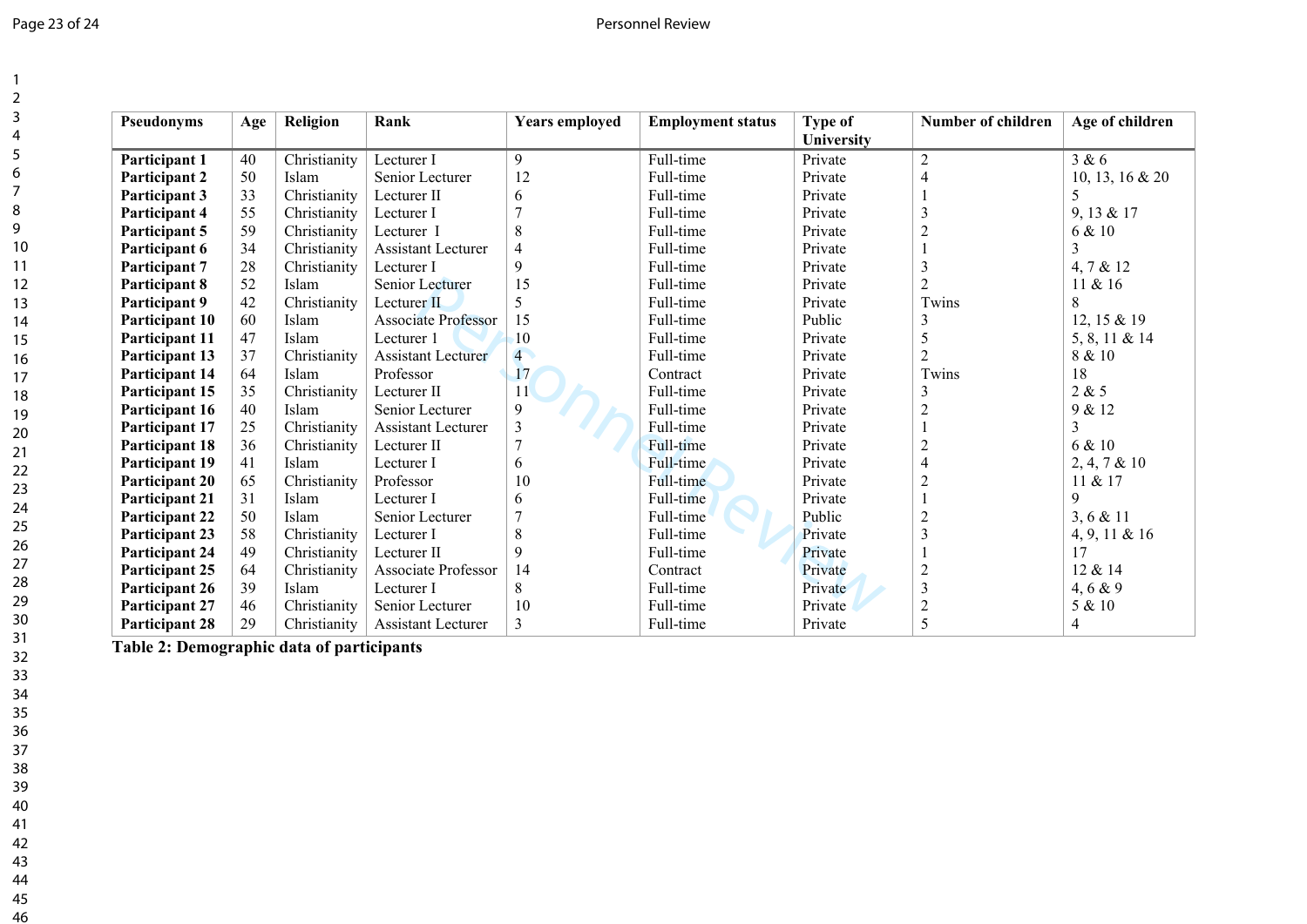# Page 23 of 24 Personnel Review

| Pseudonyms            | Age | Religion     | Rank                       | <b>Years employed</b> | <b>Employment status</b> | <b>Type of</b><br><b>University</b> | <b>Number of children</b> | Age of children |
|-----------------------|-----|--------------|----------------------------|-----------------------|--------------------------|-------------------------------------|---------------------------|-----------------|
| Participant 1         | 40  | Christianity | Lecturer I                 | 9                     | Full-time                | Private                             | $\overline{2}$            | 3 & 6           |
| Participant 2         | 50  | Islam        | Senior Lecturer            | 12                    | Full-time                | Private                             | 4                         | 10, 13, 16 & 20 |
| Participant 3         | 33  | Christianity | Lecturer II                | 6                     | Full-time                | Private                             |                           | 5               |
| Participant 4         | 55  | Christianity | Lecturer I                 | $\overline{7}$        | Full-time                | Private                             | 3                         | 9, 13 & 17      |
| Participant 5         | 59  | Christianity | Lecturer I                 | $\,$ 8 $\,$           | Full-time                | Private                             | $\overline{2}$            | 6 & 10          |
| Participant 6         | 34  | Christianity | <b>Assistant Lecturer</b>  | $\overline{4}$        | Full-time                | Private                             |                           | $\overline{3}$  |
| Participant 7         | 28  | Christianity | Lecturer I                 | 9                     | Full-time                | Private                             | 3                         | 4, 7 & 12       |
| Participant 8         | 52  | Islam        | Senior Lecturer            | 15                    | Full-time                | Private                             | $\overline{c}$            | 11 & 16         |
| Participant 9         | 42  | Christianity | Lecturer II                | 5                     | Full-time                | Private                             | Twins                     | 8               |
| Participant 10        | 60  | Islam        | <b>Associate Professor</b> | 15                    | Full-time                | Public                              | 3                         | 12, 15 & 19     |
| Participant 11        | 47  | Islam        | Lecturer 1                 | 10                    | Full-time                | Private                             | 5                         | 5, 8, 11 & 14   |
| Participant 13        | 37  | Christianity | <b>Assistant Lecturer</b>  | $\overline{4}$        | Full-time                | Private                             | $\overline{2}$            | 8 & 10          |
| <b>Participant 14</b> | 64  | Islam        | Professor                  | 17                    | Contract                 | Private                             | Twins                     | 18              |
| Participant 15        | 35  | Christianity | Lecturer II                | 11                    | Full-time                | Private                             | 3                         | 2 & 5           |
| Participant 16        | 40  | Islam        | Senior Lecturer            | 9                     | Full-time                | Private                             | $\overline{2}$            | 9 & 12          |
| Participant 17        | 25  | Christianity | <b>Assistant Lecturer</b>  | $\mathfrak{Z}$        | Full-time                | Private                             |                           | 3               |
| <b>Participant 18</b> | 36  | Christianity | Lecturer II                | $\overline{7}$        | Full-time                | Private                             | $\overline{c}$            | 6 & 10          |
| <b>Participant 19</b> | 41  | Islam        | Lecturer I                 | 6                     | Full-time                | Private                             | 4                         | 2, 4, 7 & 10    |
| <b>Participant 20</b> | 65  | Christianity | Professor                  | 10                    | Full-time                | Private                             | $\overline{c}$            | 11 & 17         |
| <b>Participant 21</b> | 31  | Islam        | Lecturer I                 | 6                     | Full-time                | Private                             |                           | 9               |
| <b>Participant 22</b> | 50  | Islam        | Senior Lecturer            | $\overline{7}$        | Full-time                | Public                              | $\overline{c}$            | 3, 6 & 11       |
| <b>Participant 23</b> | 58  | Christianity | Lecturer I                 | $\,8\,$               | Full-time                | Private                             | 3                         | 4, 9, 11 & 16   |
| <b>Participant 24</b> | 49  | Christianity | Lecturer II                | 9                     | Full-time                | Private                             |                           | 17              |
| Participant 25        | 64  | Christianity | <b>Associate Professor</b> | 14                    | Contract                 | Private                             | $\overline{2}$            | 12 & 14         |
| Participant 26        | 39  | Islam        | Lecturer I                 | 8                     | Full-time                | Private                             | $\overline{3}$            | 4, 6 & 9        |
| <b>Participant 27</b> | 46  | Christianity | Senior Lecturer            | 10                    | Full-time                | Private                             | $\overline{2}$            | 5 & 10          |
| <b>Participant 28</b> | 29  | Christianity | <b>Assistant Lecturer</b>  | 3                     | Full-time                | Private                             | 5                         | 4               |

**Table 2: Demographic data of participants**